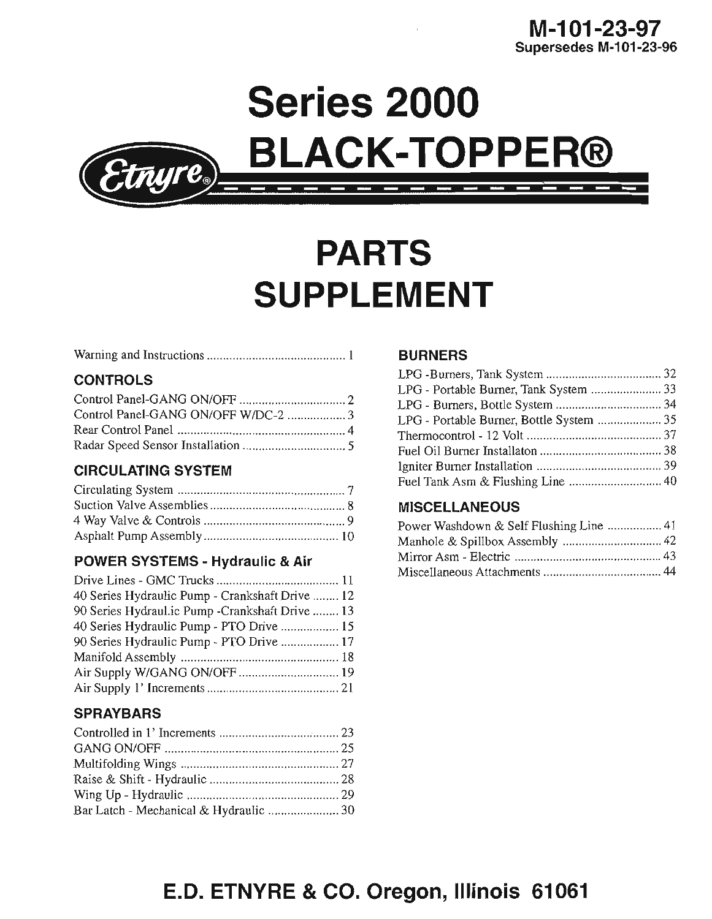# **Series 2000 BLACK-TOPPER®**

## **PARTS SUPPLEMENT** Asphalt Pump Assembly ....... E<br>Exp<br>-E Drive Lines - GMC Trucks **L**<br>1<br>2<br>3<br>3<br>3<br>2<br>3<br>2<br>3<br>3<br>3 r<br>ar

# al<br>**RC CONTROLS**

| <b>SUPPI</b>                        |  |
|-------------------------------------|--|
|                                     |  |
| <b>CONTROLS</b>                     |  |
|                                     |  |
| Control Panel-GANG ON/OFF W/DC-2  3 |  |
|                                     |  |
|                                     |  |
| <b>CIRCULATING SYSTEM</b>           |  |
|                                     |  |
|                                     |  |
|                                     |  |
|                                     |  |
| DOMED CVCTEMC Undraulia 8 Air       |  |

#### **CIRCULATING SYSTEM**

| DOMED CVCTEMC Hydraulio 8 Air |
|-------------------------------|
|                               |
|                               |
|                               |
|                               |

#### **IED CVCTEMC** . Hydroulin 8, Air

| 40 Series Hydraulic Pump - Crankshaft Drive  12 |          |
|-------------------------------------------------|----------|
| 90 Series Hydraul.ic Pump -Crankshaft Drive  13 |          |
| 40 Series Hydraulic Pump - PTO Drive  15        |          |
| 90 Series Hydraulic Pump - PTO Drive  17        |          |
|                                                 |          |
|                                                 |          |
|                                                 |          |
| <b>SPRAYBARS</b>                                |          |
|                                                 |          |
| CANG ONLOPE                                     | $\Omega$ |

#### **SPRAYBARS**

| Bar Latch - Mechanical & Hydraulic  30 |  |
|----------------------------------------|--|

#### **BURNERS**

| <b>MENT</b>                              |  |
|------------------------------------------|--|
| <b>BURNERS</b>                           |  |
|                                          |  |
| LPG - Portable Burner, Tank System  33   |  |
|                                          |  |
| LPG - Portable Burner, Bottle System  35 |  |
|                                          |  |
|                                          |  |
|                                          |  |
| Fuel Tank Asm & Flushing Line  40        |  |
|                                          |  |

#### **MISCELLANEOUS**

| <b>MISCELLANEOUS</b> |
|----------------------|
|                      |
|                      |
|                      |
|                      |
|                      |
|                      |
|                      |
|                      |
|                      |
|                      |
|                      |
|                      |

## 44 43 42 4t 40 39 38 37 35 34 33 32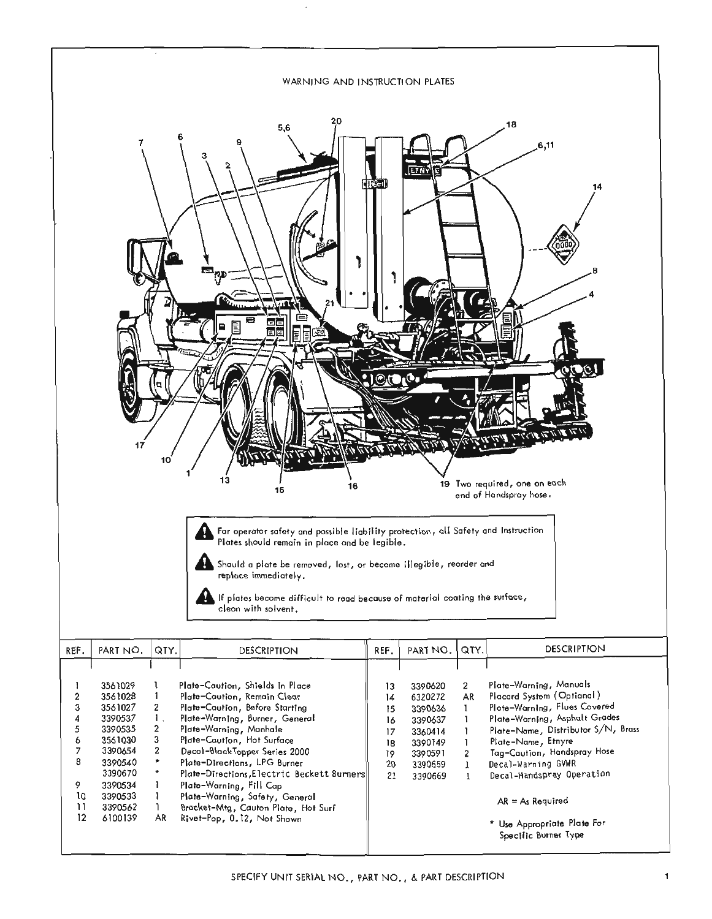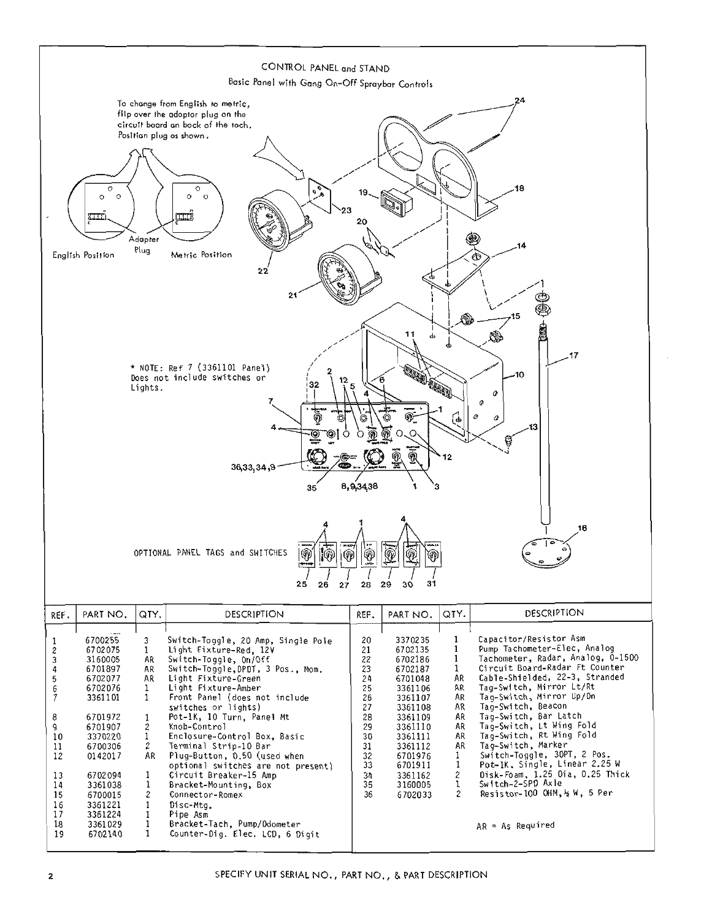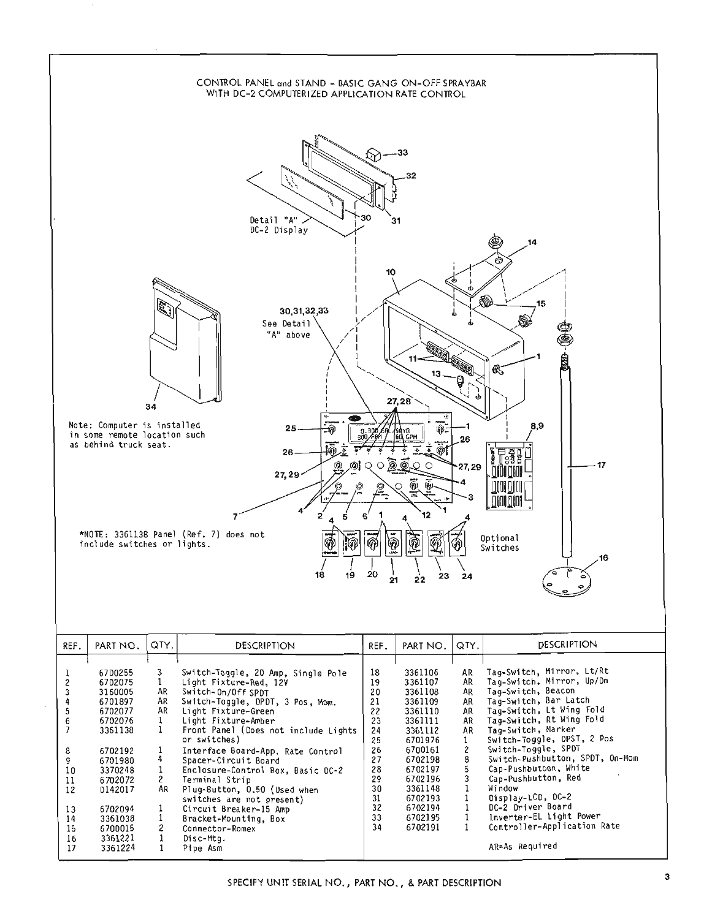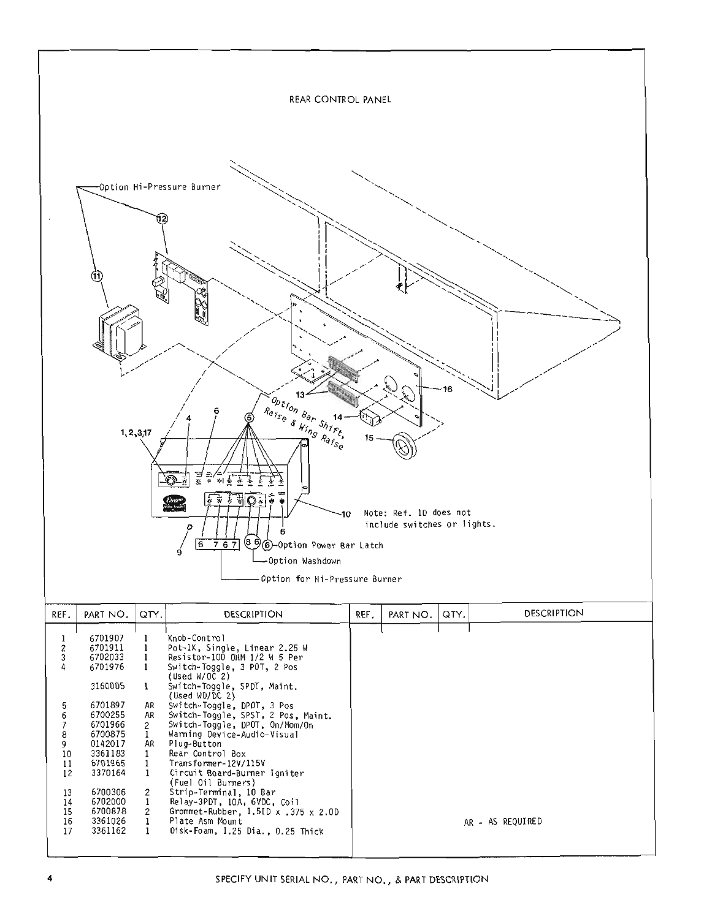

AR - AS REQUIRED

Strip-Terminal, 10 Bar<br>Relay-3PDT, 10A, 6VDC, Coil<br>Grommet-Rubber, 1.5ID x .375 x 2.0D<br>Plate Asm Mount

Oisk-Foam, 1.25 Dia., 0.25 Thick

13 14

15

16

 $17$ 

6700306

6702000

6700878

3361026

3361162

 $\overline{\mathbf{c}}$ 

 $\mathbf{1}$ 

 $\overline{\mathbf{c}}$ 

 $\,1$ 

 $\,1$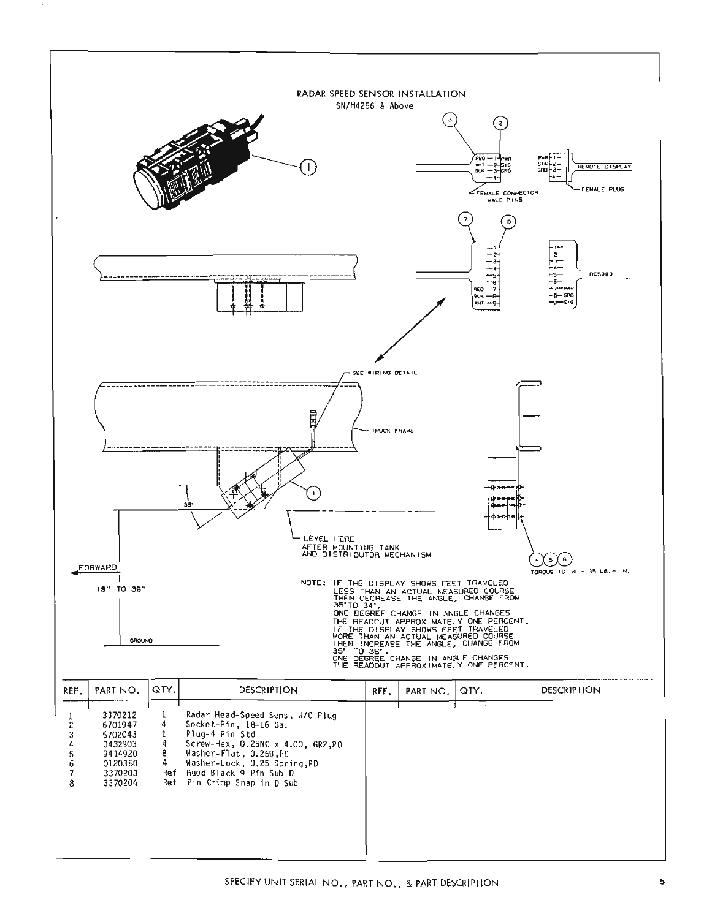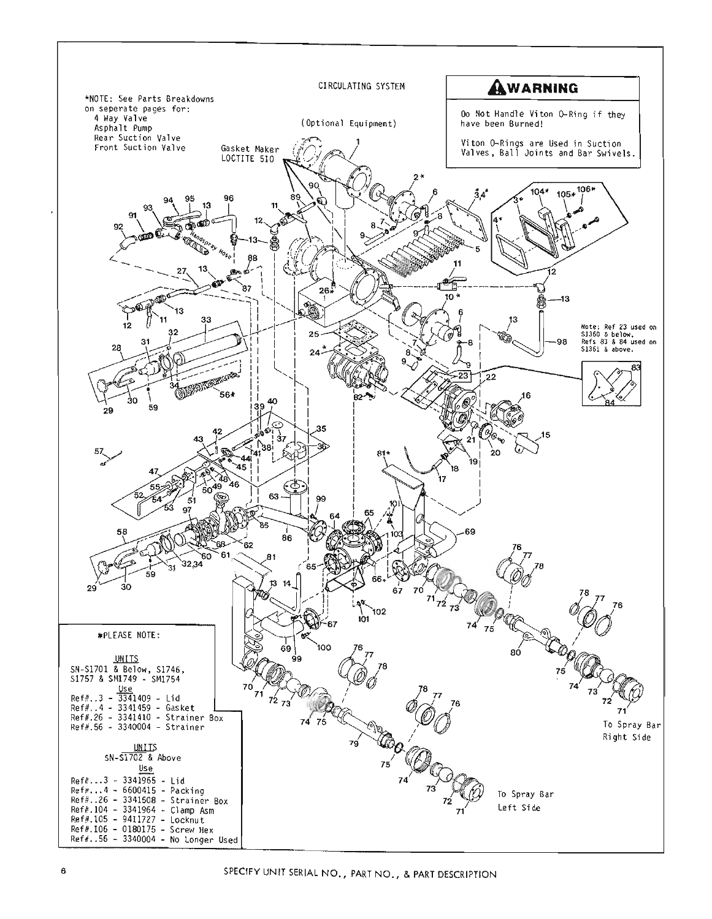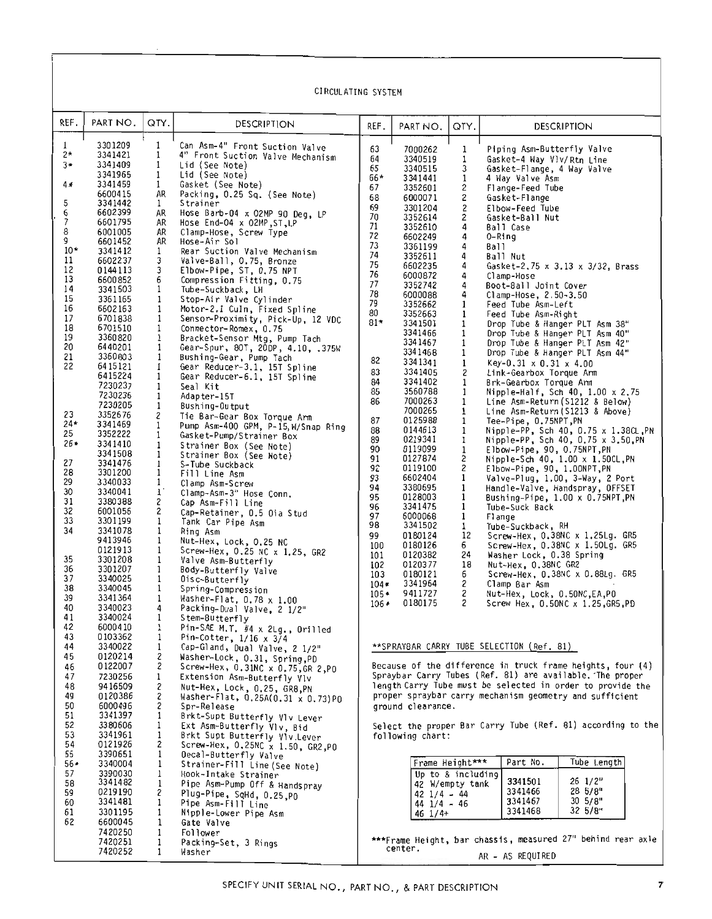#### CIRCULATING SYSTEM

| REF.                                  | PART NO.           | QTY.         | <b>DESCRIPTION</b>                                                | REF.         | PART NO.                       | QTY.   | DESCRIPTION                                                         |
|---------------------------------------|--------------------|--------------|-------------------------------------------------------------------|--------------|--------------------------------|--------|---------------------------------------------------------------------|
| $\mathbf{1}$                          | 3301209            | 1            | Can Asm-4" Front Suction Valve                                    | 63           | 7000262                        | 1      | Piping Asm-Butterfly Valve                                          |
| 2*                                    | 3341421            | 1            | 4" Front Suction Valve Mechanism                                  | 64           | 3340519                        | 1      | Gasket-4 Way Vlv/Rtn Line                                           |
| 3∗                                    | 3341409<br>3341965 | 1<br>1       | Lid (See Note)<br>Lid (See Note)                                  | 65           | 3340515                        | 3      | Gasket-Flange, 4 Way Valve                                          |
| 4∗                                    | 3341459            | $\mathbf{1}$ | Gasket (See Note)                                                 | 66*          | 3341441                        | 1      | 4 Way Valve Asm                                                     |
|                                       | 6600415            | AR           | Packing, 0.25 Sq. (See Note)                                      | 67<br>68     | 3352601                        | 2      | Flange-Feed Tube                                                    |
| 5                                     | 3341442            | 1            | Strainer                                                          | 69           | 6000071<br>3301204             | 2<br>2 | Gasket-Flange<br>Elbow-Feed Tube                                    |
| 6                                     | 6602399            | AR           | Hose Barb-04 x 02MP 90 Deg, LP                                    | 70           | 3352614                        | 2      | Gasket-Ball Nut                                                     |
| $\begin{array}{c} 7 \\ 8 \end{array}$ | 6601795            | AR           | Hose End-04 x 02MP, ST, LP                                        | 71           | 3352610                        | 4      | Ball Case                                                           |
| 9                                     | 6001005<br>6601452 | AR<br>AR     | Clamp-Hose, Screw Type<br>Hose-Air Sol                            | 72           | 6602249                        | 4      | 0-Ring                                                              |
| $10*$                                 | 3341412            | $\mathbf{1}$ | Rear Suction Valve Mechanism                                      | 73           | 3361199                        | 4      | Ball                                                                |
| 11                                    | 6602237            | 3            | Valve-Ball, O.75, Bronze                                          | 74<br>75     | 3352611                        | 4      | Ball Nut                                                            |
| 12                                    | 0144113            | 3            | Elbow-Pipe, ST, 0.75 NPT                                          | 76           | 6602235<br>6000872             | 4<br>4 | Gasket-2.75 x 3.13 x 3/32, Brass<br>Clamp-Hose                      |
| 13                                    | 6600852            | 6            | Compression Fitting, 0.75                                         | 77           | 3352742                        | 4      | Boot-8ail Joint Cover                                               |
| 14<br>15                              | 3341503<br>3361165 | 1<br>1       | Tube-Suckback, LH<br>Stop-Air Valve Cylinder                      | 78           | 6000088                        | 4      | Clamp-Hose, 2.50-3.50                                               |
| 16                                    | 6602163            | 1            | Motor-2.1 Culn, Fixed Spline                                      | 79           | 3352662                        | 1      | Feed Tube Asm-Left                                                  |
| 17                                    | 6701838            | 1            | Sensor-Proximity, Pick-Up, 12 VDC                                 | 80<br>$81*$  | 3352663                        | 1      | Feed Tube Asm-Right                                                 |
| 18                                    | 6701510            | 1            | Connector-Romex, 0.75                                             |              | 3341501<br>3341466             | 1<br>1 | Drop Tube & Hanger PLT Asm 38"<br>Drop Tube & Hanger PLT Asm 40"    |
| 19                                    | 3360820            | 1            | Bracket-Sensor Mtg, Pump Tach                                     |              | 3341467                        | 1      | Drop Tube & Hanger PLT Asm 42"                                      |
| 20<br>21                              | 6440201<br>3360803 | 1<br>1       | Gear-Spur, 80T, 20DP, 4.10, .375W                                 |              | 3341468                        | 1      | Drop Tube & Hanger PLT Asm 44"                                      |
| 22                                    | 64 15 12 1         | 1            | Bushing-Gear, Pump Tach<br>Gear Reducer-3.1, 15T Spline           | 82           | 3341341                        | 1      | $Key-0.31 \times 0.31 \times 4.00$                                  |
|                                       | 6415224            | 1            | Gear Reducer-6.1, 15T Spline                                      | 83           | 3341405                        | 2      | Link-Gearbox Torque Arm                                             |
|                                       | 7230237            | $\mathbf{1}$ | Seal Kit                                                          | 84           | 3341402                        | 1      | Brk-Gearbox Torque Arm                                              |
|                                       | 7230236            | 1            | Adapter-15T                                                       | 85<br>86     | 3560788<br>7000263             | 1<br>1 | Nipple-Half, Sch 40, 1.00 x 2.75<br>Line Asm-Return (S1212 & Below) |
|                                       | 7230205            | 1            | Bushing-Output                                                    |              | 7000265                        | 1      | Line Asm-Return (S1213 & Above)                                     |
| 23<br>24*                             | 3352676<br>3341469 | 2<br>1       | Tie Bar-Gear Box Torque Arm                                       | 87           | 0125988                        | 1      | Tee-Pipe, 0.75NPT,PN                                                |
| 25                                    | 3352222            | 1            | Pump Asm-400 GPM, P-15, W/Snap Ring<br>Gasket-Pump/Strainer Box   | 88           | 0144613                        | 1      | Nipple-PP, Sch 40, 0.75 x 1.38CL, PN                                |
| 26 ∎                                  | 3341410            | 1            | Strainer Box (See Note)                                           | 89           | 0219341                        | 1      | Nipple-PP, Sch 40, 0.75 x 3.50, PN                                  |
|                                       | 3341508            | 1            | Strainer Box (See Note)                                           | 90<br>91     | 0119099<br>0127874             | 1<br>2 | Elbow-Pipe, 90, 0.75NPT,PN                                          |
| 27                                    | 3341476            | 1            | S-Tube Suckback                                                   | 92           | 0119100                        | 2      | Nipple-Sch 40, 1.00 x 1.50CL, PN<br>Elbow-Pipe, 90, 1.00NPT.PN      |
| 28<br>29                              | 3301200<br>3340033 | 1<br>1       | Fill Line Asm                                                     | 93           | 6602404                        | 1      | Valve-Plug, 1.00, 3-Way, 2 Port                                     |
| 30                                    | 3340041            | Ţ.           | Clamp Asm-Screw<br>Clamp-Asm-3" Hose Conn.                        | 94           | 3380695                        | 1      | Handle-Valve, Handspray, OFFSET                                     |
| 31                                    | 3380388            | 2            | Cap Asm-Fill Line                                                 | 95           | 0128003                        | 1      | Bushing-Pipe, 1.00 x 0.75NPT,PN                                     |
| 32                                    | 6001056            | 2            | Cap-Retainer, 0.5 Oia Stud                                        | 96<br>97     | 3341475                        | 1      | Tube-Suck Back                                                      |
| 33                                    | 3301199            | 1            | Tank Car Pipe Asm                                                 | 98           | 5000068<br>3341502             | 1<br>1 | Flange<br>Tube-Suckback, RH                                         |
| 34                                    | 3341078<br>9413946 | 1            | Ring Asm                                                          | 99           | 0180124                        | 12     | Screw-Hex, $0.38NC \times 1.25Lg$ . GR5                             |
|                                       | 0121913            | 1<br>1       | Nut-Hex, Lock, 0.25 NC<br>Screw-Hex, 0.25 NC x 1.25, GR2          | 100          | 0180126                        | 6      | Screw-Hex, $0.38NC \times 1.50Lg$ . GR5                             |
| 35                                    | 3301208            | 1            | Valve Asm-Butterfly                                               | 101          | 0120382                        | 24     | Washer Lock, 0.38 Spring                                            |
| 36                                    | 3301207            | 1            | Body-Butterfly Valve                                              | 102<br>103   | 0120377<br>0180121             | 18     | Nut-Hex, 0.38NC GR2<br>Screw-Hex, 0.38NC x 0.88Lg. GR5              |
| 37                                    | 3340025            | 1            | Oisc-Butterfly                                                    | $104 \times$ | 3341964                        | 6<br>2 | Clamp Bar Asm                                                       |
| 38<br>39                              | 3340045            | 1            | Spring-Compression                                                | $105*$       | 9411727                        | 2      | Nut-Hex, Lock, O.5ONC,EA,PO                                         |
| 40                                    | 3341364<br>3340023 | 1<br>4       | Washer-Flat, 0.78 x 1.00<br>Packing-Dual Valve, 2 1/2"            | $106*$       | 0180175                        | 2      | Screw Hex, $0.50NC \times 1.25$ , GR5, PD                           |
| 41                                    | 3340024            | 1            | Stem-8utterfly                                                    |              |                                |        |                                                                     |
| 42                                    | 6000410            | ı            | Pin-SAE M.T. #4 x 2Lg., Orilled                                   |              |                                |        |                                                                     |
| 43                                    | 0103362            | 1            | Pin-Cotter, $1/16 \times 3/4$                                     |              |                                |        |                                                                     |
| 44                                    | 3340022            | 1            | Cap-Gland, Dual Valve, 2 1/2"                                     |              |                                |        | **SPRAYBAR CARRY TUBE SELECTION (Ref. 81)                           |
| 45<br>46                              | 0120214<br>0122007 | 2<br>2       | Washer-Lock, 0.31, Spring, PD                                     |              |                                |        | Because of the difference in truck frame heights, four (4)          |
| 47                                    | 7230256            | $\mathbf{1}$ | Screw-Hex, 0.31NC x 0.75, GR 2, PO<br>Extension Asm-Butterfly Vlv |              |                                |        | Spraybar Carry Tubes (Ref. 81) are available. The proper            |
| 48                                    | 9416509            | 2            | Nut-Hex, Lock, 0.25, GR8, PN                                      |              |                                |        | length Carry Tube must be selected in order to provide the          |
| 49                                    | 0120386            | 2            | Washer-Flat, 0.25A(0.31 x 0.73)PO                                 |              |                                |        | proper spraybar carry mechanism geometry and sufficient             |
| 50                                    | 6000496            | 2            | Spr-Release                                                       |              | ground clearance.              |        |                                                                     |
| 51<br>52                              | 3341397<br>3380606 | 1<br>1       | Brkt-Supt Butterfly VIv Lever                                     |              |                                |        |                                                                     |
| 53                                    | 3341961            | 1            | Ext Asm-Butterfly Vlv, Bid<br>Brkt Supt Butterfly Viv.Lever       |              | following chart:               |        | Select the proper Bar Carry Tube (Ref. 81) according to the         |
| 54                                    | 0121926            | 2            | Screw-Hex, 0.25NC x 1.50, GR2, PO                                 |              |                                |        |                                                                     |
| 55                                    | 3390651            | 1            | Oecal-Butterfly Valve                                             |              |                                |        |                                                                     |
| 56≁                                   | 3340004            | 1            | Strainer-Fill Line (See Note)                                     |              | Frame Height***                |        | Part No.<br>Tube Length                                             |
| 57<br>58                              | 3390030<br>3341482 | 1            | Rook-Intake Strainer                                              |              | Up to & including              |        | $26 \frac{1}{2}$<br>3341501                                         |
| 59                                    | 0219190            | 1<br>2       | Pipe Asm-Pump Off & Handspray                                     |              | 42 W/empty tank<br>42 1/4 - 44 |        | 28 5/8"<br>3341466                                                  |
| 60                                    | 3341481            | 1            | Plug-Pipe, SqHd, 0.25, PO<br>Pipe Asm-Fill Line                   |              | $44$ $1/4$ - 46                |        | 30 5/8"<br>3341467                                                  |
| 61                                    | 3301195            | 1            | Nipple-Lower Pipe Asm                                             |              | $46 \frac{1}{4}$               |        | 32 5/8"<br>3341468                                                  |
| 62                                    | 6600045            | 1            | Gate Valve                                                        |              |                                |        |                                                                     |
|                                       | 7420250            | 1            | Follower                                                          |              |                                |        | ***Frame Height, bar chassis, measured 27" behind rear axle         |
|                                       | 7420251<br>7420252 | 1            | Packing-Set, 3 Rings                                              |              | center.                        |        |                                                                     |
|                                       |                    | $\mathbf{1}$ | Washer                                                            |              |                                |        | AR - AS REQUIRED                                                    |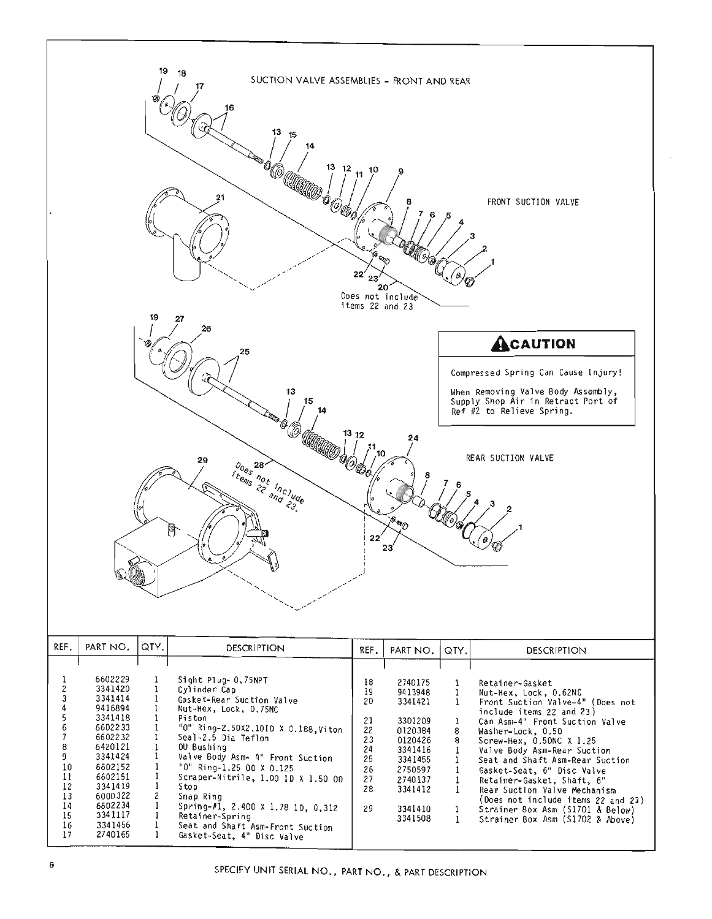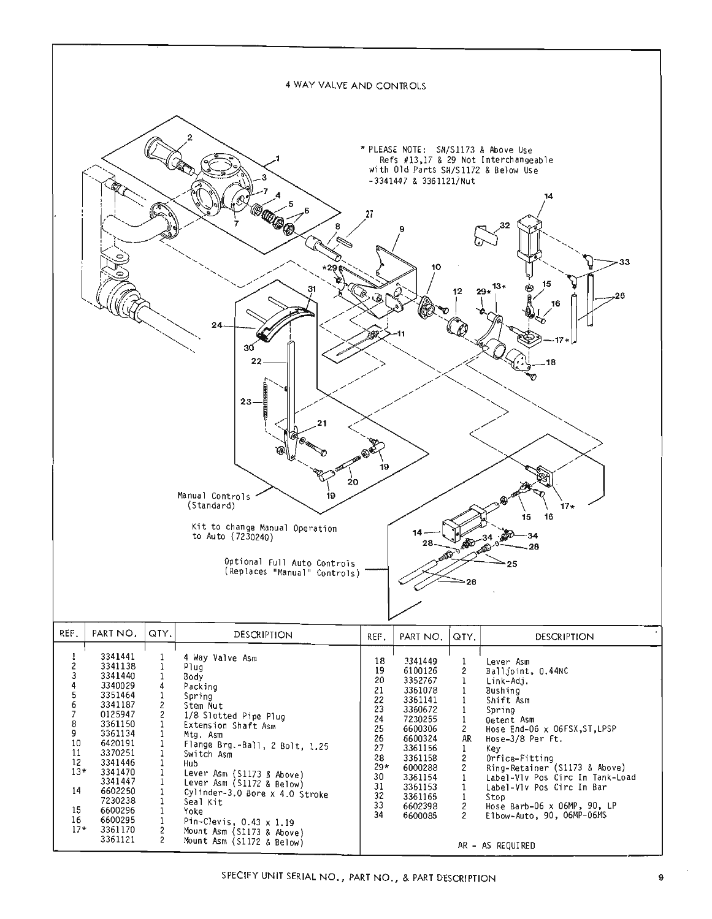

SPECIFY UNIT SERIAL NO., PART NO., & PART DESCRIPTION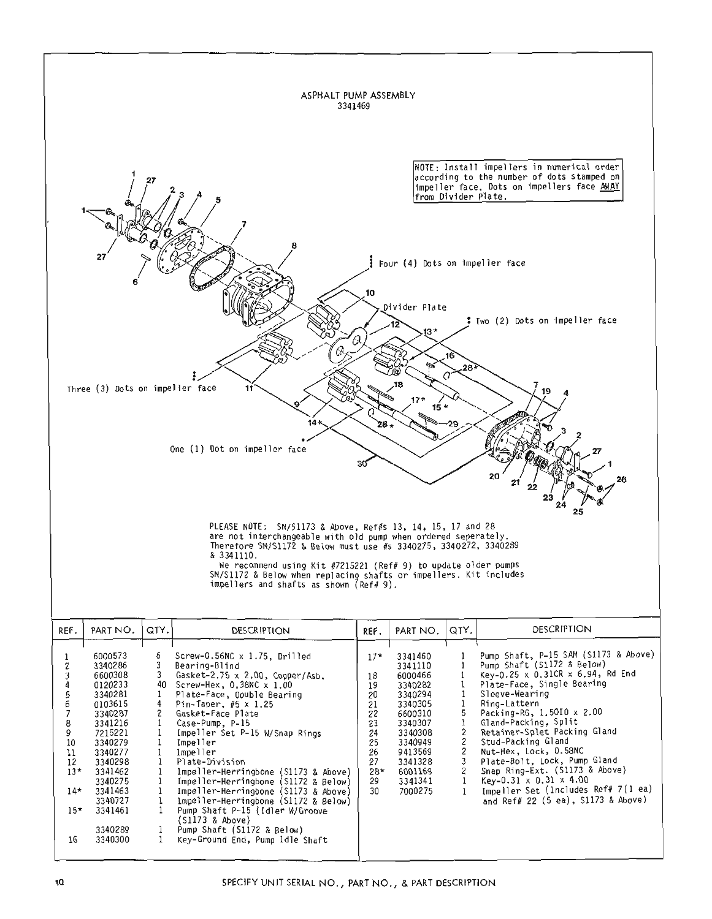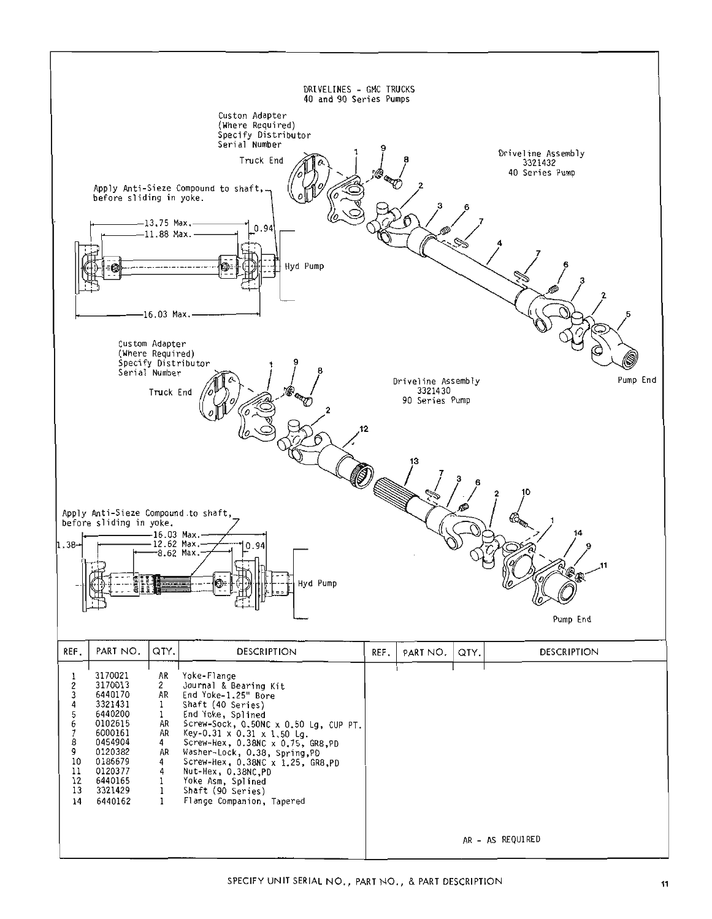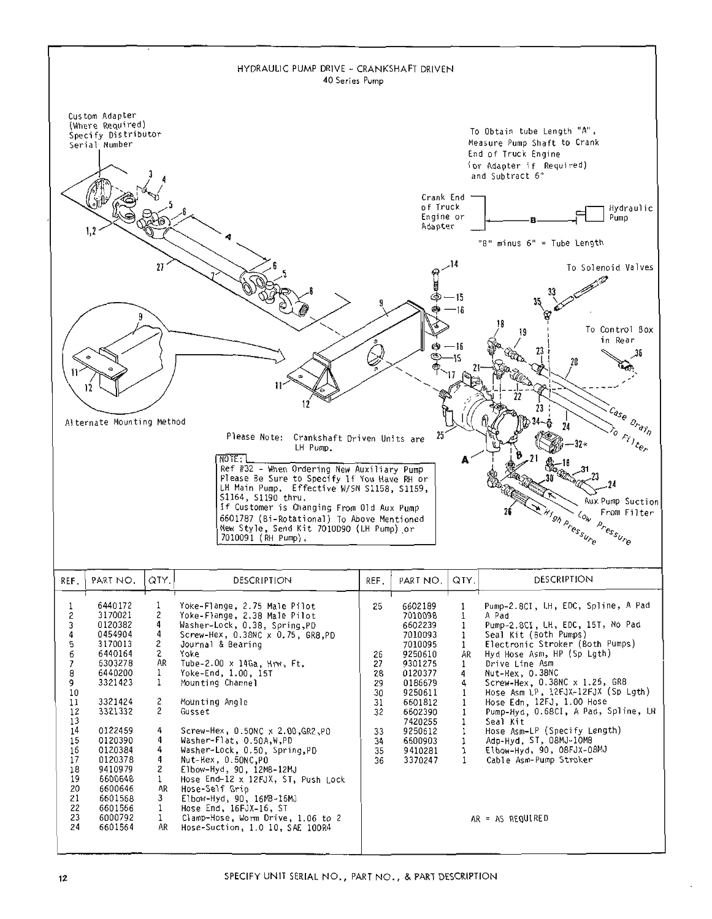![](_page_12_Figure_0.jpeg)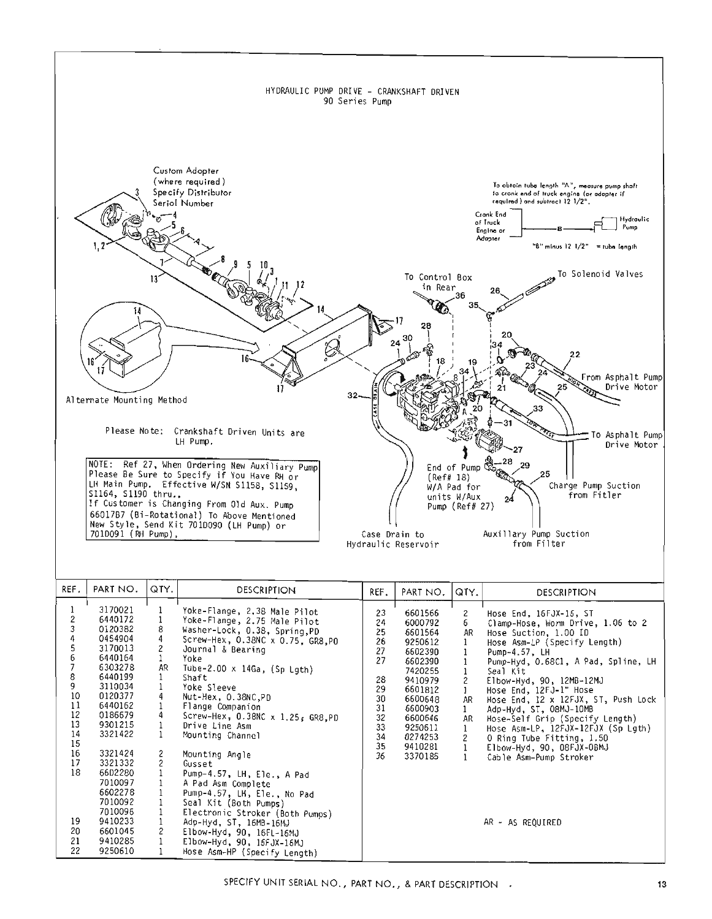![](_page_13_Figure_0.jpeg)

| 6440164<br>Yoke<br>27<br>6602390<br>Pump-Hyd, 0.68Cl, A Pad, Spline, LH<br>6303278<br>AR<br>Tube-2.00 x 14Ga, (Sp Lgth)<br>7420255<br>Seal Kit<br>8<br>6440199<br>Shaft<br>28<br>2<br>9410979<br>$Elbow-Hyd, 90, 12MB-12MJ$<br>9<br>3110034<br>Yoke Sleeve<br>29<br>6601812<br>Hose End, 12FJ-1" Hose<br>10<br>0120377<br>4<br>Nut-Hex, 0.38NC.PD<br>30<br>6600648<br>AR<br>Hose End, 12 x 12FJX, ST, Push Lock<br>11<br>6440162<br>Flange Companion<br>31<br>6600903<br>Adp-Hyd, ST, O8MJ-10MB<br>12<br>0186679<br>4<br>Screw-Hex, $0.38NC \times 1.25$ , GR8, PD<br>32<br>Hose-Self Grip (Specify Length)<br>6600646<br>AR<br>13<br>9301215<br>Drive Line Asm<br>33<br>9250611<br>Hose Asm-LP, 12FJX-12FJX (Sp Lgth)<br>14<br>3321422<br>Mounting Channel<br>34<br>0274253<br>2<br>O Ring Tube Fitting, 1.50<br>15<br>35<br>9410281<br>Elbow-Hyd, 90, 08FJX-0BMJ<br>16<br>3321424<br>2<br>Mounting Angle<br>36<br>3370185<br>Cable Asm-Pump Stroker<br>17<br>2<br>3321332<br>Gusset<br>18<br>6602280<br>Pump-4.57, LH, Ele., A Pad<br>7010097<br>A Pad Asm Complete<br>6602278<br>Pump-4.57, LH, Ele., No Pad<br>7010092<br>Seal Kit (Both Pumps)<br>7010096<br>Electronic Stroker (Both Pumps)<br>19<br>9410233<br>AR - AS REQUIRED<br>Adp-Hyd, ST, 16MB-16MJ<br>20<br>2<br>6601045<br>Elbow-Hyd, 90, 16FL-16MJ<br>21<br>9410285<br>Elbow-Hyd, 90, 16FJX-16MJ<br>22<br>9250610 | 3170021<br>6440172<br>0120382<br>0454904<br>3170013 | 8<br>4<br>2 | Yoke-Flange, 2.38 Male Pilot<br>Yoke-Flange, 2.75 Male Pilot<br>Washer-Lock, 0.38, Spring, PD<br>Screw-Hex, 0.38NC x 0.75, GR8, P0<br>Journal & Bearing | 23<br>24<br>25<br>26<br>27 | 6601566<br>6000792<br>6601564<br>9250612<br>6602390 | 2<br>6<br>AR | Hose End, 16FJX-16, ST<br>Clamp-Hose, Worm Drive, 1.06 to 2<br>Hose Suction, 1.00 ID<br>Hose Asm-LP (Specify Length)<br>Pump-4.57, LH |
|-----------------------------------------------------------------------------------------------------------------------------------------------------------------------------------------------------------------------------------------------------------------------------------------------------------------------------------------------------------------------------------------------------------------------------------------------------------------------------------------------------------------------------------------------------------------------------------------------------------------------------------------------------------------------------------------------------------------------------------------------------------------------------------------------------------------------------------------------------------------------------------------------------------------------------------------------------------------------------------------------------------------------------------------------------------------------------------------------------------------------------------------------------------------------------------------------------------------------------------------------------------------------------------------------------------------------------------------------------------------------------------|-----------------------------------------------------|-------------|---------------------------------------------------------------------------------------------------------------------------------------------------------|----------------------------|-----------------------------------------------------|--------------|---------------------------------------------------------------------------------------------------------------------------------------|
|                                                                                                                                                                                                                                                                                                                                                                                                                                                                                                                                                                                                                                                                                                                                                                                                                                                                                                                                                                                                                                                                                                                                                                                                                                                                                                                                                                                   |                                                     |             |                                                                                                                                                         |                            |                                                     |              |                                                                                                                                       |
|                                                                                                                                                                                                                                                                                                                                                                                                                                                                                                                                                                                                                                                                                                                                                                                                                                                                                                                                                                                                                                                                                                                                                                                                                                                                                                                                                                                   |                                                     |             |                                                                                                                                                         |                            |                                                     |              |                                                                                                                                       |
|                                                                                                                                                                                                                                                                                                                                                                                                                                                                                                                                                                                                                                                                                                                                                                                                                                                                                                                                                                                                                                                                                                                                                                                                                                                                                                                                                                                   |                                                     |             |                                                                                                                                                         |                            |                                                     |              |                                                                                                                                       |
|                                                                                                                                                                                                                                                                                                                                                                                                                                                                                                                                                                                                                                                                                                                                                                                                                                                                                                                                                                                                                                                                                                                                                                                                                                                                                                                                                                                   |                                                     |             |                                                                                                                                                         |                            |                                                     |              |                                                                                                                                       |
|                                                                                                                                                                                                                                                                                                                                                                                                                                                                                                                                                                                                                                                                                                                                                                                                                                                                                                                                                                                                                                                                                                                                                                                                                                                                                                                                                                                   |                                                     |             |                                                                                                                                                         |                            |                                                     |              |                                                                                                                                       |
|                                                                                                                                                                                                                                                                                                                                                                                                                                                                                                                                                                                                                                                                                                                                                                                                                                                                                                                                                                                                                                                                                                                                                                                                                                                                                                                                                                                   |                                                     |             |                                                                                                                                                         |                            |                                                     |              |                                                                                                                                       |
|                                                                                                                                                                                                                                                                                                                                                                                                                                                                                                                                                                                                                                                                                                                                                                                                                                                                                                                                                                                                                                                                                                                                                                                                                                                                                                                                                                                   |                                                     |             |                                                                                                                                                         |                            |                                                     |              |                                                                                                                                       |
|                                                                                                                                                                                                                                                                                                                                                                                                                                                                                                                                                                                                                                                                                                                                                                                                                                                                                                                                                                                                                                                                                                                                                                                                                                                                                                                                                                                   |                                                     |             |                                                                                                                                                         |                            |                                                     |              |                                                                                                                                       |
|                                                                                                                                                                                                                                                                                                                                                                                                                                                                                                                                                                                                                                                                                                                                                                                                                                                                                                                                                                                                                                                                                                                                                                                                                                                                                                                                                                                   |                                                     |             |                                                                                                                                                         |                            |                                                     |              |                                                                                                                                       |
|                                                                                                                                                                                                                                                                                                                                                                                                                                                                                                                                                                                                                                                                                                                                                                                                                                                                                                                                                                                                                                                                                                                                                                                                                                                                                                                                                                                   |                                                     |             |                                                                                                                                                         |                            |                                                     |              |                                                                                                                                       |
|                                                                                                                                                                                                                                                                                                                                                                                                                                                                                                                                                                                                                                                                                                                                                                                                                                                                                                                                                                                                                                                                                                                                                                                                                                                                                                                                                                                   |                                                     |             |                                                                                                                                                         |                            |                                                     |              |                                                                                                                                       |
|                                                                                                                                                                                                                                                                                                                                                                                                                                                                                                                                                                                                                                                                                                                                                                                                                                                                                                                                                                                                                                                                                                                                                                                                                                                                                                                                                                                   |                                                     |             |                                                                                                                                                         |                            |                                                     |              |                                                                                                                                       |
|                                                                                                                                                                                                                                                                                                                                                                                                                                                                                                                                                                                                                                                                                                                                                                                                                                                                                                                                                                                                                                                                                                                                                                                                                                                                                                                                                                                   |                                                     |             |                                                                                                                                                         |                            |                                                     |              |                                                                                                                                       |
|                                                                                                                                                                                                                                                                                                                                                                                                                                                                                                                                                                                                                                                                                                                                                                                                                                                                                                                                                                                                                                                                                                                                                                                                                                                                                                                                                                                   |                                                     |             |                                                                                                                                                         |                            |                                                     |              |                                                                                                                                       |
|                                                                                                                                                                                                                                                                                                                                                                                                                                                                                                                                                                                                                                                                                                                                                                                                                                                                                                                                                                                                                                                                                                                                                                                                                                                                                                                                                                                   |                                                     |             |                                                                                                                                                         |                            |                                                     |              |                                                                                                                                       |
|                                                                                                                                                                                                                                                                                                                                                                                                                                                                                                                                                                                                                                                                                                                                                                                                                                                                                                                                                                                                                                                                                                                                                                                                                                                                                                                                                                                   |                                                     |             |                                                                                                                                                         |                            |                                                     |              |                                                                                                                                       |
|                                                                                                                                                                                                                                                                                                                                                                                                                                                                                                                                                                                                                                                                                                                                                                                                                                                                                                                                                                                                                                                                                                                                                                                                                                                                                                                                                                                   |                                                     |             |                                                                                                                                                         |                            |                                                     |              |                                                                                                                                       |
|                                                                                                                                                                                                                                                                                                                                                                                                                                                                                                                                                                                                                                                                                                                                                                                                                                                                                                                                                                                                                                                                                                                                                                                                                                                                                                                                                                                   |                                                     |             |                                                                                                                                                         |                            |                                                     |              |                                                                                                                                       |
|                                                                                                                                                                                                                                                                                                                                                                                                                                                                                                                                                                                                                                                                                                                                                                                                                                                                                                                                                                                                                                                                                                                                                                                                                                                                                                                                                                                   |                                                     |             | Hose Asm-HP (Specify Length)                                                                                                                            |                            |                                                     |              |                                                                                                                                       |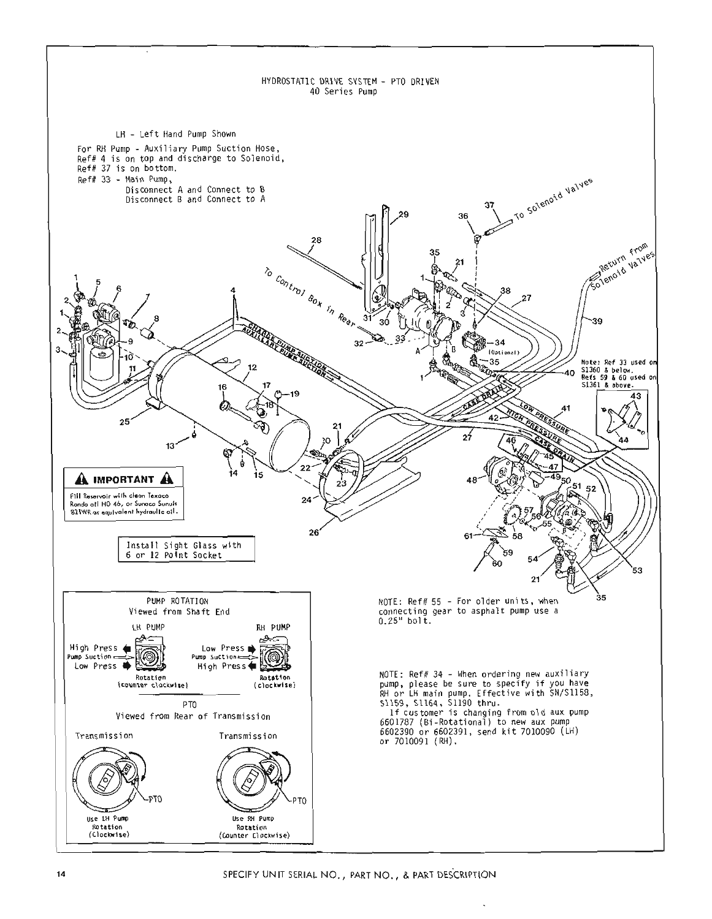![](_page_14_Figure_0.jpeg)

 $\overline{ }$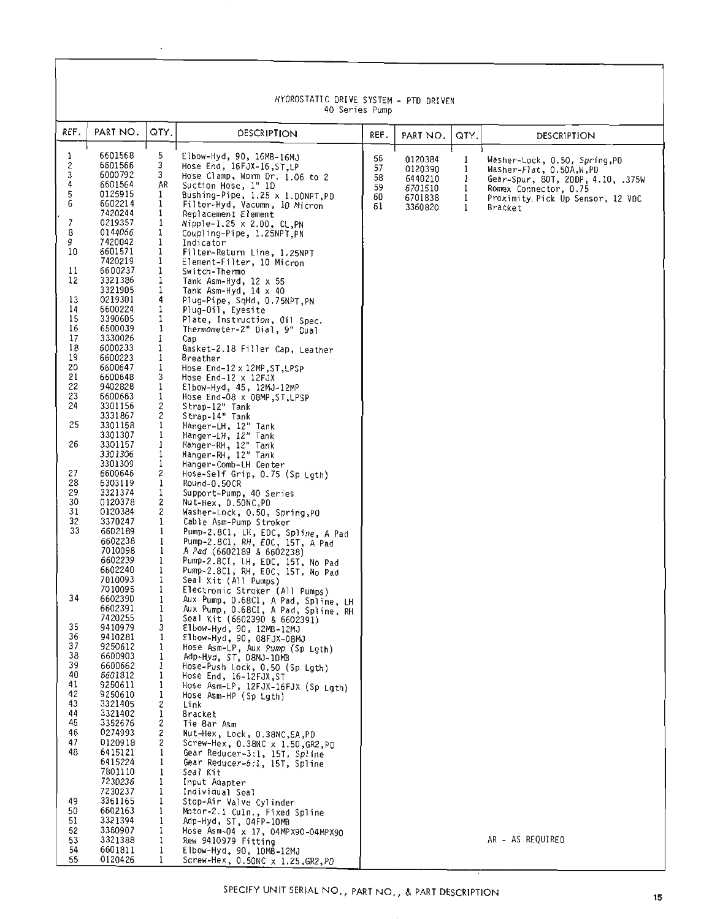### HYDROSTATIC DRIVE SYSTEM - PTD DRIVEN<br>40 Series Pump

 $\mathcal{L}_{\mathcal{A}}$ 

|                            | 40 Series Pump                                                            |                                 |                                                                                                                                                                                                                                      |                            |                                                     |                       |                                                                                                                                                           |  |
|----------------------------|---------------------------------------------------------------------------|---------------------------------|--------------------------------------------------------------------------------------------------------------------------------------------------------------------------------------------------------------------------------------|----------------------------|-----------------------------------------------------|-----------------------|-----------------------------------------------------------------------------------------------------------------------------------------------------------|--|
| REF.                       | PART NO.                                                                  | QTY.                            | DESCRIPTION                                                                                                                                                                                                                          | REF.                       | PART NO.                                            | QTY.                  | <b>DESCRIPTION</b>                                                                                                                                        |  |
| 1<br>2<br>3<br>4<br>5<br>6 | 6601568<br>6601566<br>6000792<br>6601564<br>0125915<br>6602214            | 5<br>3<br>3<br>AR<br>1<br>1     | Elbow-Hyd, 90, 16MB-16MJ<br>Hose End, 16FJX-16,ST,LP<br>Hose Clamp, Worm Dr. 1.06 to 2<br>Suction Hose, 1" 1D<br>Bushing-Pipe, 1.25 x 1.00NPT, PO<br>Filter-Hyd, Vacumn, 10 Micron                                                   | 56<br>57<br>58<br>59<br>60 | 0120384<br>0120390<br>6440210<br>6701510<br>6701838 | 1<br>1<br>1<br>1<br>1 | Washer-Lock, 0.50, Spring,PD<br>Washer-Flat, 0.50A.W.PD<br>Gear-Spur, 80T, 200P, 4.10, .375W<br>Romex Connector, 0.75<br>Proximity Pick Up Sensor, 12 VDC |  |
| 7<br>8                     | 7420244<br>0219357<br>0144066                                             | 1<br>1<br>1                     | Replacement Element<br>Nipple-1.25 x 2.00, CL, PN<br>Coupling-Pipe, 1.25NPT,PN                                                                                                                                                       | 61                         | 3360820                                             | 1                     | Bracket                                                                                                                                                   |  |
| 9.<br>10                   | 7420042<br>6601571<br>7420219                                             | 1<br>1<br>1                     | Indicator<br>Filter-Return Line, 1.25NPT<br>Element-Filter, 10 Micron                                                                                                                                                                |                            |                                                     |                       |                                                                                                                                                           |  |
| 11<br>12                   | 6600237<br>3321386<br>3321905                                             | 1<br>1<br>1                     | Switch-Thermo<br>Tank Asm-Hyd, $12 \times 55$<br>Tank Asm-Hyd, 14 x 40                                                                                                                                                               |                            |                                                     |                       |                                                                                                                                                           |  |
| 13<br>14<br>15             | 0219301<br>6600224<br>3390605                                             | 4<br>1<br>1                     | Plug-Pipe, SqHd, 0.75NPT, PN<br>Plug-Oil, Eyesite<br>Plate, Instruction, Oil Spec.                                                                                                                                                   |                            |                                                     |                       |                                                                                                                                                           |  |
| 16<br>17<br>18             | 6500039<br>3330026<br>6000233                                             | 1<br>1<br>1                     | Thermometer-2" Dial, 9" Dual<br>Cap<br>Gasket-2.18 Filler Cap, Leather                                                                                                                                                               |                            |                                                     |                       |                                                                                                                                                           |  |
| 19<br>20<br>21             | 6600223<br>6600647<br>6600648                                             | 1<br>1<br>3                     | Breather<br>Hose End-12 x 12MP, ST, LPSP<br>Hose End-12 $\times$ 12FJX                                                                                                                                                               |                            |                                                     |                       |                                                                                                                                                           |  |
| 22<br>23<br>24             | 9402828<br>6600663<br>3301156                                             | 1<br>1<br>2                     | Elbow-Hyd, 45, 12MJ-12MP<br>Hose End-08 x 08MP, ST, LPSP<br>Strap-12" Tank                                                                                                                                                           |                            |                                                     |                       |                                                                                                                                                           |  |
| 25                         | 3331867<br>3301158<br>3301307                                             | 2<br>1<br>1                     | Strap-14" Tank<br>Hanger-LH, 12" Tank<br>Hanger-LH, 12" Tank                                                                                                                                                                         |                            |                                                     |                       |                                                                                                                                                           |  |
| 26                         | 3301157<br>3301306<br>3301309                                             | 1<br>1<br>1                     | Hanger-RH, 12" Tank<br>Hanger-RH, 12" Tank<br>Hanger-Comb-LH Center                                                                                                                                                                  |                            |                                                     |                       |                                                                                                                                                           |  |
| 27<br>28<br>29             | 6600646<br>6303119<br>3321374                                             | 2<br>1<br>1                     | Hose-Self Grip, 0.75 (Sp Lgth)<br>Round-0.50CR<br>Support-Pump, 40 Series                                                                                                                                                            |                            |                                                     |                       |                                                                                                                                                           |  |
| 30<br>31<br>32             | 0120378<br>0120384<br>3370247                                             | 2<br>2<br>1                     | Nut-Hex, D.50NC,PD<br>Washer-Lock, 0.50, Spring,PO<br>Cable Asm-Pump Stroker                                                                                                                                                         |                            |                                                     |                       |                                                                                                                                                           |  |
| 33                         | 6602189<br>6602238<br>7010098<br>6602239<br>6602240<br>7010093<br>7010095 | 1<br>1<br>1<br>1<br>1<br>1<br>1 | Pump-2.8Cl, LH, EDC, Spline, A Pad<br>Pump-2.8Cl, RH, EDC, 15T, A Pad<br>A Pad (6602189 & 6602238)<br>Pump-2.8CI, LH, EDC, 15T, No Pad<br>Pump-2.8Cl, RH, EOC, 15T, No Pad<br>Seal Kit (All Pumps)<br>Electronic Stroker (All Pumps) |                            |                                                     |                       |                                                                                                                                                           |  |
| 34<br>35                   | 6602390<br>6602391<br>7420255<br>9410979                                  | 1<br>1<br>1<br>3                | Aux Pump, 0.68Cl, A Pad, Spline, LH<br>Aux Pump, 0.68CI, A Pad, Spline, RH<br>Seal Kit (6602390 & 6602391)<br>Elbow-Hyd, 90, 12MB-12MJ                                                                                               |                            |                                                     |                       |                                                                                                                                                           |  |
| 36<br>37<br>38             | 9410281<br>9250612<br>6600903                                             | 1<br>1<br>1                     | Elbow-Hyd, 90, 08FJX-08MJ<br>Hose Asm-LP, Aux Pump (Sp Lgth)<br>Adp-Hyd, ST, D8MJ-10MB                                                                                                                                               |                            |                                                     |                       |                                                                                                                                                           |  |
| 39<br>40<br>41<br>42       | 6600662<br>6601812<br>9250611<br>9250610                                  | 1<br>1<br>1<br>1                | Hose-Push Lock, 0.50 (Sp Lgth)<br>Hose End, 16-12FJX,ST<br>Hose Asm-LP, 12FJX-16FJX (Sp Lgth)                                                                                                                                        |                            |                                                     |                       |                                                                                                                                                           |  |
| 43<br>44<br>45             | 3321405<br>3321402<br>3352676                                             | 2<br>1<br>2                     | Hose Asm-HP (Sp Lqth)<br>Link<br>Bracket<br>Tie Bar Asm                                                                                                                                                                              |                            |                                                     |                       |                                                                                                                                                           |  |
| 46<br>47<br>48             | 0274993<br>0120918<br>6415121<br>6415224<br>7801110                       | 2<br>2<br>1<br>1<br>1           | Nut-Hex, Lock, 0.38NC, EA, PD<br>Screw-Hex, 0.38NC x 1.50, GR2, PD<br>Gear Reducer-3:1, 15T, Spline<br>Gear Reducer-6:1, 15T, Spline<br>Seal Kit                                                                                     |                            |                                                     |                       |                                                                                                                                                           |  |
| 49<br>50                   | 7230236<br>7230237<br>3361165<br>6602163                                  | 1<br>1<br>1<br>1                | Input Adapter<br>Individual Seal<br>Stop-Air Valve Cylinder<br>Motor-2.1 Culn., Fixed Spline                                                                                                                                         |                            |                                                     |                       |                                                                                                                                                           |  |
| 51<br>52<br>53             | 3321394<br>3360907<br>3321388                                             | 1<br>1<br>1                     | Adp-Hyd, ST, 04FP-10MB<br>Hose Asm-04 x 17, 04MPX90-04MPX90<br>Rew 9410979 Fitting                                                                                                                                                   |                            |                                                     |                       | AR - AS REQUIREO                                                                                                                                          |  |
| 54<br>55                   | 6601811<br>0120426                                                        | 1<br>1                          | Elbow-Hyd, 90, 10M8-12MJ<br>Screw-Hex, 0.50NC x 1.25, GR2, PD                                                                                                                                                                        |                            |                                                     |                       |                                                                                                                                                           |  |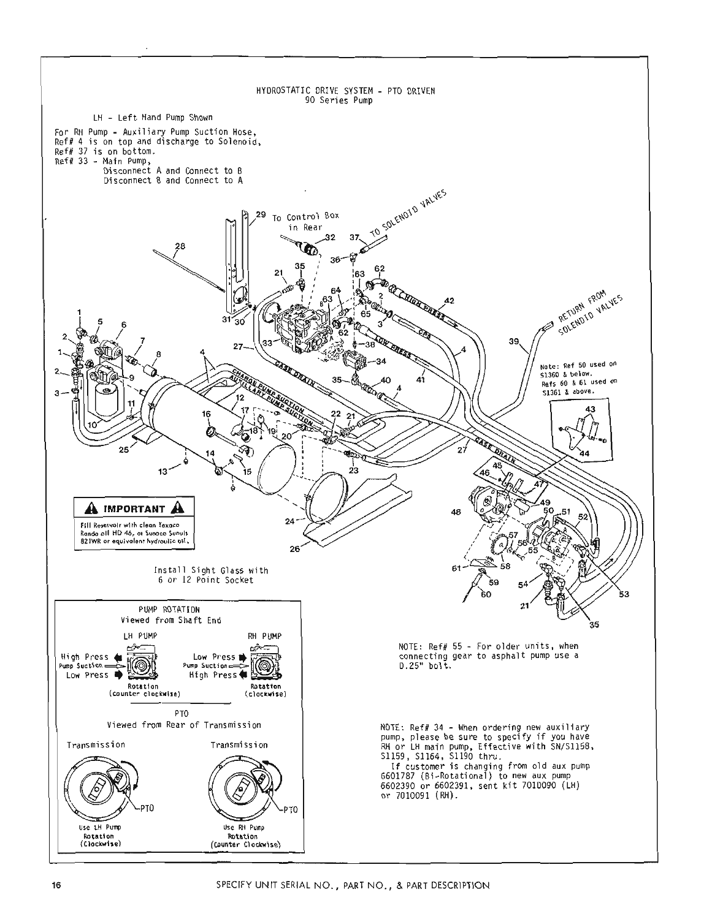![](_page_16_Figure_0.jpeg)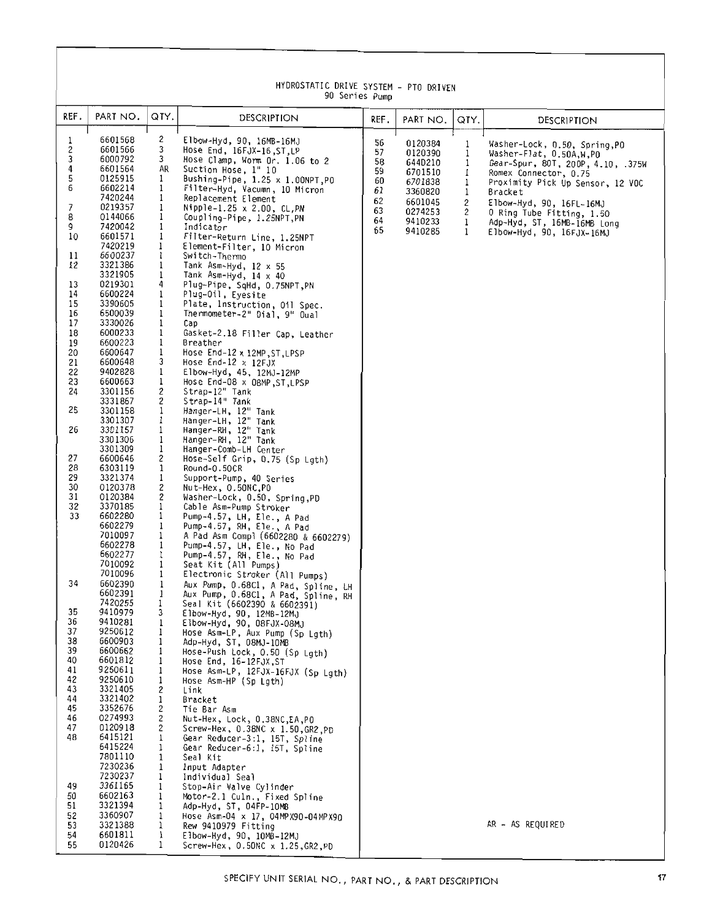|                                 | HYDROSTATIC DRIVE SYSTEM - PTO DRIVEN<br>90 Series Pump                              |                                                             |                                                                                                                                                                                                                                                  |                                              |                                                                                      |                                      |                                                                                                                                                                                                                                 |
|---------------------------------|--------------------------------------------------------------------------------------|-------------------------------------------------------------|--------------------------------------------------------------------------------------------------------------------------------------------------------------------------------------------------------------------------------------------------|----------------------------------------------|--------------------------------------------------------------------------------------|--------------------------------------|---------------------------------------------------------------------------------------------------------------------------------------------------------------------------------------------------------------------------------|
| REF.                            | PART NO.                                                                             | QTY.                                                        | <b>DESCRIPTION</b>                                                                                                                                                                                                                               | REF.                                         | PART NO.                                                                             | QTY.                                 | DESCRIPTION                                                                                                                                                                                                                     |
| 1<br>2<br>3<br>4<br>5<br>6<br>7 | 6601568<br>6601566<br>6000792<br>6601564<br>0125915<br>6602214<br>7420244<br>0219357 | 2<br>3<br>3<br>AR<br>1<br>1<br>$\mathbf{1}$<br>$\mathbf{1}$ | Elbow-Hyd, 90, 16MB-16MJ<br>Hose End, 16FJX-16, ST, LP<br>Hose Clamp, Worm Or. 1.06 to 2<br>Suction Hose, 1" 10<br>Bushing-Pipe, $1.25 \times 1.00$ NPT, PO<br>Filter-Hyd, Vacumn, 10 Micron<br>Replacement Element<br>Nipple-1.25 x 2.00, CL,PN | 56<br>57<br>58<br>59<br>60<br>61<br>62<br>63 | 0120384<br>0120390<br>644D210<br>6701510<br>6701838<br>3360820<br>6601045<br>0274253 | 1<br>1<br>1<br>1<br>1<br>1<br>2<br>2 | Washer-Lock, 0.50, Spring,PO<br>Washer-Flat, 0.50A, W, PO<br>Gear-Spur, 80T, 200P, 4.10, .375W<br>Romex Connector, 0.75<br>Proximity Pick Up Sensor, 12 VOC<br>Bracket<br>Elbow-Hyd, 90, 16FL-16MJ<br>0 Ring Tube Fitting, 1.50 |
| 8<br>9<br>10                    | 0144066<br>7420042<br>6601571<br>7420219                                             | 1<br>1<br>1<br>1                                            | Coupling-Pipe, 1.25NPT,PN<br>Indicator<br>Filter-Return Line, 1.25NPT<br>Element-Filter, 10 Micron                                                                                                                                               | 64<br>65                                     | 9410233<br>9410285                                                                   | 1<br>1                               | Adp-Hyd, ST, 16MB-16MB Long<br>Elbow-Hyd, 90, 16FJX-16MJ                                                                                                                                                                        |
| 11<br>12<br>13                  | 6600237<br>3321386<br>3321905<br>0219301                                             | ı<br>1<br>1<br>4                                            | Switch-Thermo<br>Tank Asm-Hyd, 12 x 55<br>Tank Asm-Hyd, $14 \times 40$<br>Plug-Pipe, SqHd, 0.75NPT, PN                                                                                                                                           |                                              |                                                                                      |                                      |                                                                                                                                                                                                                                 |
| 14<br>15<br>16<br>17            | 6600224<br>3390605<br>6500039<br>3330026                                             | 1<br>1<br>$\mathbf{1}$<br>$\mathbf{1}$                      | Plug-Oil, Eyesite<br>Plate, Instruction, Oil Spec.<br>Thermometer-2" Dial, 9" Oual<br>Cap                                                                                                                                                        |                                              |                                                                                      |                                      |                                                                                                                                                                                                                                 |
| 18<br>19<br>20                  | 6000233<br>6600223<br>6600647<br>6600648                                             | $\mathbf{1}$<br>1<br>1<br>3                                 | Gasket-2.18 Filler Cap, Leather<br>Breather<br>Hose End-12 x 12MP, ST, LPSP                                                                                                                                                                      |                                              |                                                                                      |                                      |                                                                                                                                                                                                                                 |
| 21<br>22<br>23<br>24            | 9402828<br>6600663<br>3301156                                                        | 1<br>1<br>2                                                 | Hose End-12 x 12FJX<br>Elbow-Hyd, 45, 12MJ-12MP<br>Hose End-08 x 08MP, ST, LPSP<br>Strap-12" Tank                                                                                                                                                |                                              |                                                                                      |                                      |                                                                                                                                                                                                                                 |
| 25<br>26                        | 3331867<br>3301158<br>3301307<br>3301157                                             | 2<br>1<br>1<br>$\mathbf{1}$                                 | Strap-14" Tank<br>Hanger-LH, 12" Tank<br>Hanger-LH, 12" Tank<br>Hanger-RH, 12" Tank                                                                                                                                                              |                                              |                                                                                      |                                      |                                                                                                                                                                                                                                 |
| 27<br>28                        | 3301306<br>3301309<br>6600646<br>6303119                                             | 1<br>1<br>2<br>1                                            | Hanger-RH, 12" Tank<br>Hanger-Comb-LH Center<br>Hose-Self Grip, 0.75 (Sp Lgth)<br>Round-0.50CR                                                                                                                                                   |                                              |                                                                                      |                                      |                                                                                                                                                                                                                                 |
| 29<br>30<br>31<br>32            | 3321374<br>0120378<br>0120384<br>3370185                                             | 1<br>2<br>2<br>1                                            | Support-Pump, 40 Series<br>Nut-Hex, 0.50NC, PO<br>Washer-Lock, 0.50, Spring, PD<br>Cable Asm-Pump Stroker                                                                                                                                        |                                              |                                                                                      |                                      |                                                                                                                                                                                                                                 |
| 33                              | 6602280<br>6602279<br>7010097<br>6602278<br>6602277<br>7010092<br>7010096            | 1<br>1<br>$\mathbf{1}$<br>$\mathbf{1}$<br>1<br>1<br>1       | Pump-4.57, LH, Ele., A Pad<br>Pump-4.57, RH, Ele., A Pad<br>A Pad Asm Comp1 (6602280 & 6602279)<br>Pump-4.57, LH, Ele., No Pad<br>Pump-4.57, RH, Ele., No Pad<br>Seat Kit (All Pumps)<br>Electronic Stroker (All Pumps)                          |                                              |                                                                                      |                                      |                                                                                                                                                                                                                                 |
| 34<br>35                        | 6602390<br>6602391<br>7420255<br>9410979                                             | 1<br>1<br>1<br>3                                            | Aux Pump, 0.68Cl, A Pad, Spline, ŁH<br>Aux Pump, 0.68Cl, A Pad, Spline, RH<br>Seal Kit (6602390 & 6602391)<br>Elbow-Hyd, 90, 12MB-12MJ                                                                                                           |                                              |                                                                                      |                                      |                                                                                                                                                                                                                                 |
| 36<br>37<br>38<br>39<br>40      | 9410281<br>9250612<br>6600903<br>6600662<br>6601812                                  | 1<br>1<br>1<br>1<br>1                                       | Elbow-Hyd, 90, 08FJX-08MJ<br>Hose Asm-LP, Aux Pump (Sp Lgth)<br>Adp-Hyd, ST, 08MJ-10MB<br>Hose-Push Lock, 0.50 (Sp Lgth)<br>Hose End, 16-12FJX, ST                                                                                               |                                              |                                                                                      |                                      |                                                                                                                                                                                                                                 |
| 41<br>42<br>43<br>44            | 9250611<br>9250610<br>3321405<br>3321402                                             | 1<br>1<br>2<br>1                                            | Hose Asm-LP, 12FJX-16FJX (Sp Lgth)<br>Hose Asm-HP (Sp Lgth)<br>Link<br>Bracket                                                                                                                                                                   |                                              |                                                                                      |                                      |                                                                                                                                                                                                                                 |
| 45<br>46<br>47<br>48            | 3352676<br>0274993<br>0120918<br>6415121<br>6415224<br>7801110<br>7230236            | 2<br>2<br>2<br>1<br>1<br>1<br>$\mathbf{1}$                  | Tie Bar Asm<br>Nut-Hex, Lock, 0.38NC, EA, PO<br>Screw-Hex, 0.38NC x 1.50, GR2, PD<br>Gear Reducer-3:1, 15T, Spline<br>Gear Reducer-6:1, 15T, Spline<br>Seal Kit<br>lnput Adapter                                                                 |                                              |                                                                                      |                                      |                                                                                                                                                                                                                                 |
| 49<br>50<br>51<br>52            | 7230237<br>3361165<br>6602163<br>3321394<br>3360907                                  | 1<br>$\mathbf{1}$<br>1<br>1<br>1                            | Individual Seal<br>Stop-Air Valve Cylinder<br>Motor-2.1 Culn., Fixed Spline<br>Adp-Hyd, ST, 04FP-10MB<br>Hose Asm-04 x 17, 04MP X90-04MP X90                                                                                                     |                                              |                                                                                      |                                      |                                                                                                                                                                                                                                 |
| 53<br>54<br>55                  | 3321388<br>6601811<br>0120426                                                        | 1<br>ı<br>1                                                 | Rew 9410979 Fitting<br>Elbow-Hyd, 90, 10MB-12MJ<br>Screw-Hex, 0.50NC x 1.25, GR2, PD                                                                                                                                                             |                                              |                                                                                      |                                      | AR - AS REQUIRED                                                                                                                                                                                                                |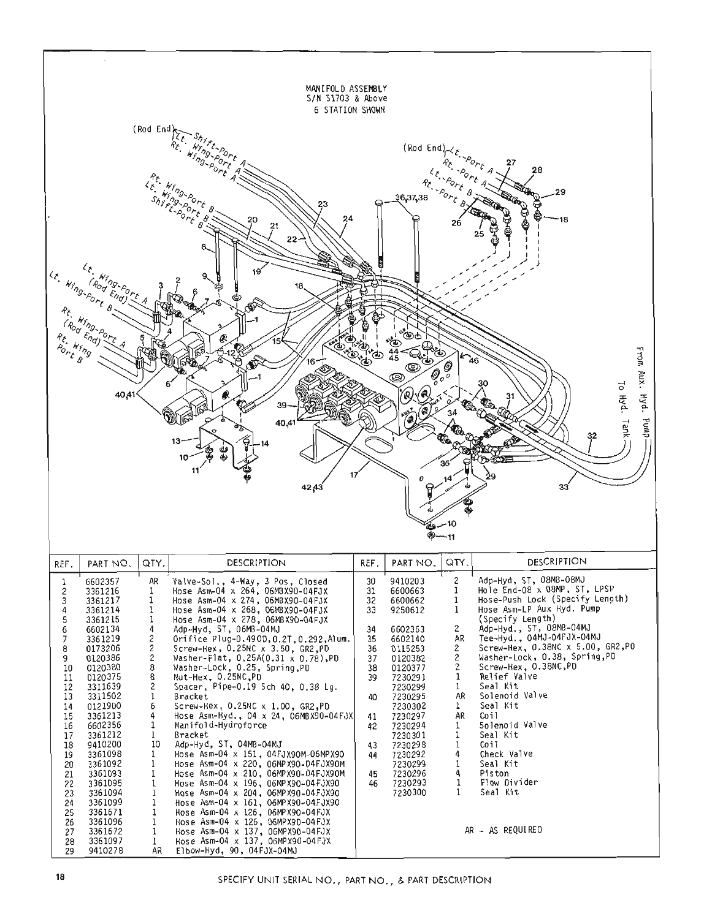![](_page_18_Figure_0.jpeg)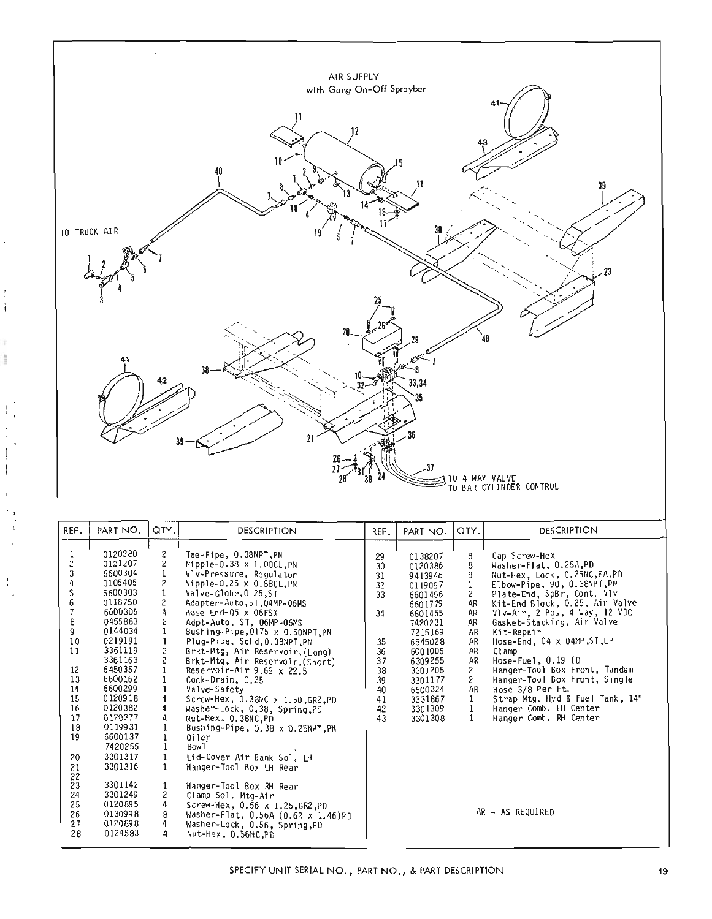![](_page_19_Figure_0.jpeg)

ì

ŝ

 $\overline{\phantom{a}}$ 

 $\overline{2}$ 

4

8

4

4

Clamp Sol. Mtg-Air

Screw-Hex, 0.56 x 1.25, GR2, PD

Washer-Flat, 0.56A (0.62 x 1.46)PD<br>Washer-Lock, 0.56, Spring, PD<br>Nut-Hex, 0.56NC, PD

3301249

0120895

0130998

0120898

0124583

26

 $27$ 

28

SPECIFY UNIT SERIAL NO., PART NO., & PART DESCRIPTION

AR - AS REQU1RED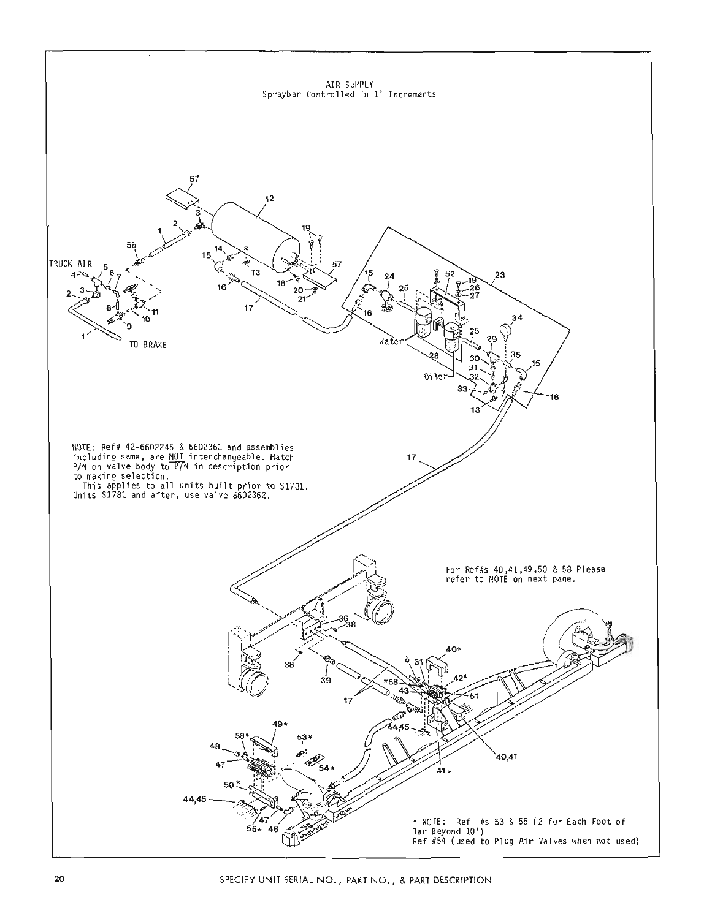![](_page_20_Figure_0.jpeg)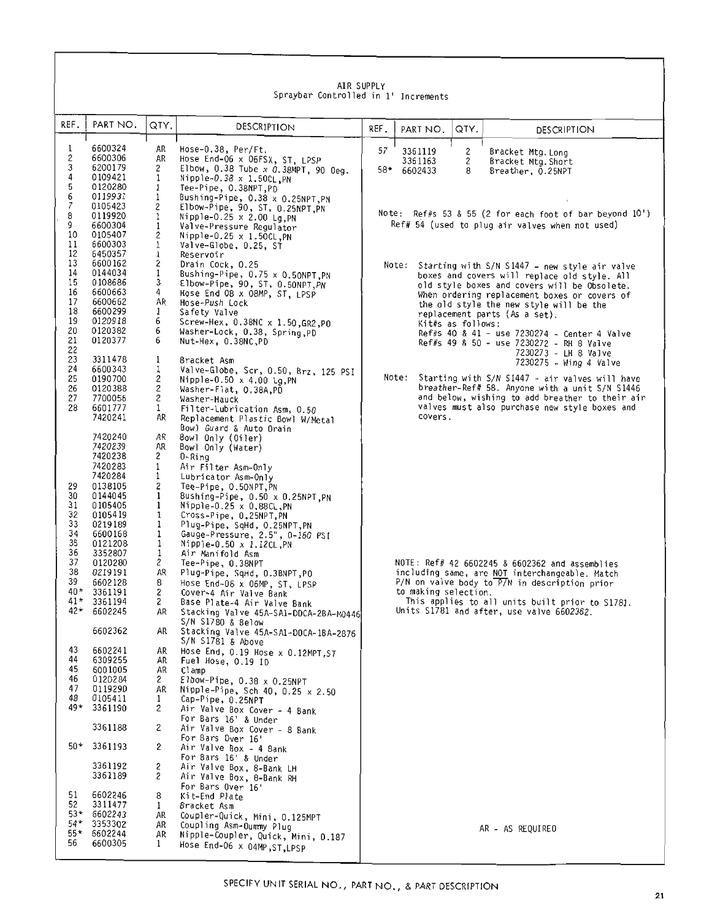| AIR SUPPLY                           |  |
|--------------------------------------|--|
| Spraybar Controlled in 1' Increments |  |

| REF.                                        | PART NO.                                                                  | QTY.                                                             | <b>DESCRIPTION</b>                                                                                                                                                                                                                  | REF.                                                                                                       | PART NO.                      | QTY.        | <b>DESCRIPTION</b>                                                                                                                                                                                                                                                        |  |
|---------------------------------------------|---------------------------------------------------------------------------|------------------------------------------------------------------|-------------------------------------------------------------------------------------------------------------------------------------------------------------------------------------------------------------------------------------|------------------------------------------------------------------------------------------------------------|-------------------------------|-------------|---------------------------------------------------------------------------------------------------------------------------------------------------------------------------------------------------------------------------------------------------------------------------|--|
| ı<br>2<br>3<br>4<br>$\overline{5}$          | 6600324<br>6600306<br>6200179<br>0109421<br>0120280                       | AR<br>AR<br>2<br>1<br>$\mathbf{1}$                               | Hose-0.38, Per/Ft.<br>Hose End-O6 x O6FSX, ST, LPSP<br>Elbow, 0.38 Tube x 0.38MPT, 90 Oeg.<br>Nipple-0.38 x 1.50CL, PN<br>Tee-Pipe, 0.38NPT, PD                                                                                     | 57<br>$58*$                                                                                                | 3361119<br>3361163<br>6602433 | 2<br>2<br>8 | Bracket Mtg. Long<br>Bracket Mtg. Short<br>Breather, 0.25NPT                                                                                                                                                                                                              |  |
| 6<br>7<br>8<br>9<br>10<br>11<br>12          | 0119931<br>0105423<br>0119920<br>6600304<br>0105407<br>6600303<br>6450357 | 1<br>2<br>1<br>1<br>2<br>Ţ<br>1                                  | Bushing-Pipe, 0.38 x 0.25NPT, PN<br>Elbow-Pipe, 90, ST, 0.25NPT, PN<br>Nipple-0.25 x 2.00 Lg, PN<br>Valve-Pressure Regulator<br>Nipple-0.25 $\times$ 1.50CL, PN<br>Valve-Globe, 0.25, ST                                            | Note: Ref#s 53 & 55 (2 for each foot of bar beyond 10')<br>Ref# 54 (used to plug air valves when not used) |                               |             |                                                                                                                                                                                                                                                                           |  |
| 13<br>14<br>15<br>16<br>17<br>18            | 6600162<br>0144034<br>0108686<br>6600663<br>6600662<br>6600299            | 2<br>1<br>3<br>4<br>AR<br>$\mathbf{1}$                           | Reservoir<br>Drain Cock, 0.25<br>Bushing-Pipe, 0.75 x 0.50NPT, PN<br>Elbow-Pipe, 90, ST, 0.50NPT, PN<br>Hose End 08 x 08MP, ST, LPSP<br>Hose-Push Lock<br>Safety Valve                                                              |                                                                                                            | Note:                         |             | Starting with S/N S1447 - new style air valve<br>boxes and covers will replace old style. All<br>old style boxes and covers will be Obsolete.<br>When ordering replacement boxes or covers of<br>the old style the new style will be the<br>replacement parts (As a set). |  |
| 19<br>20<br>21<br>22<br>23                  | 0120918<br>0120382<br>0120377<br>3311478                                  | 6<br>6<br>6<br>1                                                 | Screw-Hex, 0.38NC x 1.50, GR2, PO<br>Washer-Lock, 0.38, Spring, PD<br>Nut-Hex, O.38NC.PD<br>Bracket Asm                                                                                                                             |                                                                                                            | Kit#s as follows:             |             | Ref#s 40 & 41 - use 7230274 - Center 4 Valve<br>Ref#s 49 & 50 - use 7230272 - RH 8 Valve<br>7230273 - LH 8 Valve<br>7230275 - Wing 4 Valve                                                                                                                                |  |
| 24<br>25<br>26<br>27<br>28                  | 6600343<br>0190700<br>0120388<br>7700056<br>6601777<br>7420241            | 1<br>2<br>2<br>2<br>$\mathbf{1}$<br>AR.                          | Valve-Globe, Scr, 0.50, Brz, 125 PSI<br>Nipple-0.50 x 4.00 Lg, PN<br>Washer-Flat, 0.38A.PO<br>Washer-Hauck<br>Filter-Lubrication Asm, 0.50<br>Replacement Plastic Bowl W/Metal                                                      |                                                                                                            | Note:<br>covers.              |             | Starting with S/N S1447 - air valves will have<br>breather-Ref# 58. Anyone with a unit S/N S1446<br>and below, wishing to add breather to their air<br>valves must also purchase new style boxes and                                                                      |  |
|                                             | 7420240<br>7420239<br>7420238<br>7420283<br>7420284                       | AR<br>AR<br>2<br>$\mathbf{1}$<br>1                               | Bowl Guard & Auto Orain<br>8owl Only (Oiler)<br>Bowl Only (Water)<br>0-Ring<br>Air Filter Asm-Only<br>Lubricator Asm-Only                                                                                                           |                                                                                                            |                               |             |                                                                                                                                                                                                                                                                           |  |
| 29<br>30<br>31<br>32<br>33<br>34<br>35      | 0138105<br>0144045<br>0105405<br>0105419<br>0219189<br>6600168<br>0121208 | 2<br>1<br>$\mathbf{1}$<br>$\mathbf{1}$<br>1<br>1<br>$\mathbf{1}$ | Tee-Pipe, 0.50NPT, PN<br>Bushing-Pipe, 0.50 x 0.25NPT, PN<br>$N$ ipple-0.25 $\times$ 0.88CL, PN<br>Cross-Pipe, 0.25NPT, PN<br>Plug-Pipe, SqHd, 0.25NPT, PN<br>Gauge-Pressure, 2.5", 0-160 PSI<br>$N$ ipple-0.50 $\times$ 1.12CL, PN |                                                                                                            |                               |             |                                                                                                                                                                                                                                                                           |  |
| 36<br>37<br>38<br>39<br>40*<br>$41*$<br>42* | 3352807<br>0120280<br>0219191<br>6602128<br>3361191<br>3361194<br>6602245 | $\mathbf{1}$<br>2<br>AR<br>8<br>$\mathbf{2}$<br>2<br>AR          | Air Manifold Asm<br>Tee-Pipe, 0.38NPT<br>Plug-Pipe, SqHd, 0.3BNPT, PO<br>Hose End-08 x 06MP, ST, LPSP<br>Cover-4 Air Valve Bank<br>Base Plate-4 Air Valve Bank<br>Stacking Valve 45A-SA1-DDCA-2BA-M0446                             |                                                                                                            | to making selection.          |             | NOTE: Ref# 42 6602245 & 6602362 and assemblies<br>including same, are NOT interchangeable. Match<br>P/N on valve body to $\overline{P/N}$ in description prior<br>This applies to all units built prior to S1781.<br>Units S1781 and after, use valve 6602362.            |  |
|                                             | 6602362                                                                   | AR                                                               | S/N S1780 & Below<br>Stacking Valve 45A-SA1-DOCA-1BA-2876<br>S/N S1781 & Above                                                                                                                                                      |                                                                                                            |                               |             |                                                                                                                                                                                                                                                                           |  |
| 43<br>44<br>45<br>46<br>47<br>48            | 6602241<br>6309255<br>6001005<br>012D284<br>0119290<br>0105411            | AR<br>AR<br>AR<br>$^{2}$<br>AR<br>1                              | Hose End, 0.19 Hose x 0.12MPT, ST<br>Fuel Hose, 0.19 ID<br>Clamp<br>Elbow-Pipe, 0.38 x 0.25NPT<br>Nipple-Pipe, Sch 40, $0.25 \times 2.50$<br>Cap-Pipe, 0.25NPT                                                                      |                                                                                                            |                               |             |                                                                                                                                                                                                                                                                           |  |
| 49*                                         | 3361190<br>3361188                                                        | 2<br>2                                                           | Air Valve Box Cover - 4 Bank<br>For Bars 16' & Under<br>Air Valve Box Cover - 8 Bank<br>For 8ars Dver 16'                                                                                                                           |                                                                                                            |                               |             |                                                                                                                                                                                                                                                                           |  |
| 50*                                         | 3361193<br>3361192<br>3361189                                             | 2<br>2<br>2                                                      | Air Valve Box - 4 8ank<br>For Bars 16' & Under<br>Air Valve Box, 8-Bank LH<br>Air Valve Box, 8-Bank RH                                                                                                                              |                                                                                                            |                               |             |                                                                                                                                                                                                                                                                           |  |
| 51<br>52<br>53*<br>54*                      | 6602246<br>3311477<br>6602243<br>3353302                                  | 8<br>1<br>AR<br>AR                                               | For Bars Over 16'<br>Kit-End Plate<br>Bracket Asm<br>Coupler-Quick, Mini, 0.125MPT<br>Coupling Asm-Oummy Plug                                                                                                                       |                                                                                                            |                               |             | AR - AS REQUIREO                                                                                                                                                                                                                                                          |  |
| 55*<br>56                                   | 6602244<br>6600305                                                        | AR<br>$\mathbf{1}$                                               | Nipple-Coupler, Quick, Mini, 0.187<br>Hose End-06 x 04MP, ST, LPSP                                                                                                                                                                  |                                                                                                            |                               |             |                                                                                                                                                                                                                                                                           |  |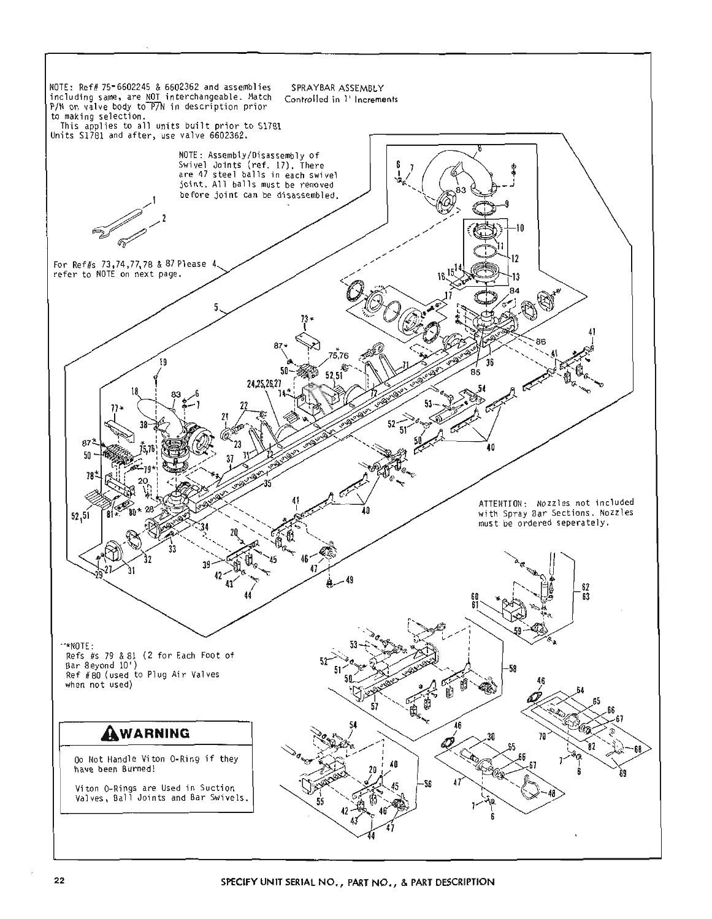![](_page_22_Figure_0.jpeg)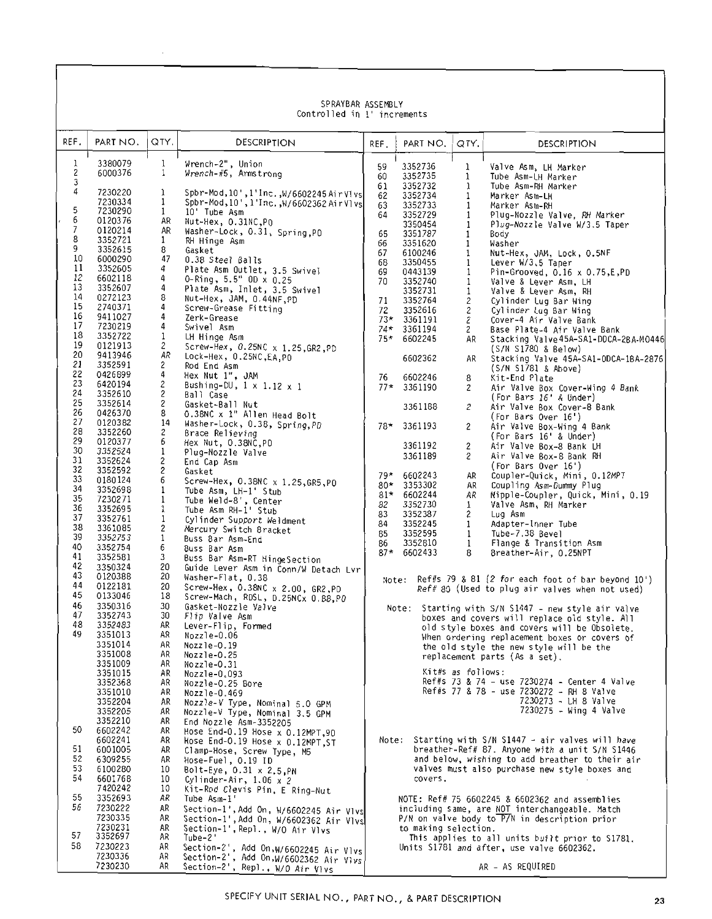### SPRAYBAR ASSEMBLY<br>Controlled in 1' increments

 $\sim$ 

| REF.     | PART NO.           | QTY.     | <b>DESCRIPTION</b>                               | REF.       | PART NO.             | QTY.              | <b>DESCRIPTION</b>                                                                               |
|----------|--------------------|----------|--------------------------------------------------|------------|----------------------|-------------------|--------------------------------------------------------------------------------------------------|
|          |                    |          |                                                  |            |                      |                   |                                                                                                  |
| 1<br>2   | 3380079<br>6000376 | 1<br>1   | Wrench-2", Union                                 | 59         | 3352736              | 1                 | Valve Asm, LH Marker                                                                             |
| 3        |                    |          | Wrench-#5, Armstrong                             | 60         | 3352735              | 1                 | Tube Asm-LH Marker                                                                               |
| 4        | 7230220            | 1        | Spbr-Mod, 10', 1'Inc., W/6602245 Air Vlvs        | 61         | 3352732              | 1                 | Tube Asm-RH Marker                                                                               |
|          | 7230334            | 1        | Spbr-Mod, 10', 1'Inc., W/6602362 AirVlvs         | 62         | 3352734              | 1                 | Marker Asm-LH                                                                                    |
| 5        | 7230290            | 1        | 10' Tube Asm                                     | 63         | 3352733              | 1                 | Marker Asm-RH                                                                                    |
| б        | 0120376            | AR       | Nut-Hex, 0.31NC, PO                              | 64         | 3352729<br>3350454   | 1<br>1            | Plug-Nozzle Valve, RH Marker                                                                     |
| 7        | 0120214            | AR       | Washer-Lock, 0.31, Spring, PO                    | 65         | 3351787              | 1                 | Plug-Nozzie Valve W/3.5 Taper<br>Body                                                            |
| 8        | 3352721            | 1        | RH Hinge Asm                                     | 66         | 3351620              | 1                 | Washer                                                                                           |
| 9        | 3352615            | 8        | Gasket                                           | 67         | 6100246              | 1                 | Nut-Hex, JAM, Lock, O.5NF                                                                        |
| 10       | 6000290            | 47       | 0.38 Steel Balls                                 | 68         | 3350455              | 1                 | Lever W/3.5 Taper                                                                                |
| 11       | 3352605            | 4        | Plate Asm Outlet, 3.5 Swivel                     | 69         | 0443139              | 1                 | Pin-Grooved, $0.16 \times 0.75$ , E, PD                                                          |
| 12<br>13 | 6602118            | 4<br>4   | 0-Ring, 5.5" OD x 0.25                           | 70         | 3352740              | 1                 | Valve & Lever Asm, LH                                                                            |
| 14       | 3352607<br>0272123 | 8        | Plate Asm, Inlet, 3.5 Swivel                     |            | 3352731              | 1                 | Valve & Lever Asm, RH                                                                            |
| 15       | 2740371            | 4        | Nut-Hex, JAM, 0.44NF, PD<br>Screw-Grease Fitting | 71         | 3352764              | 2                 | Cylinder Lug Bar Wing                                                                            |
| 16       | 9411027            | 4        | Zerk-Grease                                      | 72         | 3352616              | 2                 | Cylinder Lug Bar Wing                                                                            |
| 17       | 7230219            | 4        | Swivel Asm                                       | 73*<br>74* | 3361191<br>3361194   | 2<br>$\mathbf{2}$ | Cover-4 Air Valve Bank                                                                           |
| 18       | 3352722            | 1        | LH Hinge Asm                                     | 75*        | 6602245              | AR                | Base Plate-4 Air Valve Bank<br>Stacking Valve 45A-SA1-DDCA-2BA-M0446                             |
| 19       | 0121913            | 2        | Screw-Hex, 0.25NC x 1.25, GR2, PD                |            |                      |                   | (S/N S1780 & Below)                                                                              |
| 20       | 9413946            | AR       | Lock-Hex, 0.25NC, EA, PO                         |            | 6602362              | AR                | Stacking Valve 45A-SA1-ODCA-1BA-2876                                                             |
| 21       | 3352591            | 2        | Rod End Asm                                      |            |                      |                   | (S/N S1781 & Above)                                                                              |
| 22       | 0426899            | 4        | Hex Nut 1", JAM                                  | 76         | 6602246              | 8                 | Kit-End Plate                                                                                    |
| 23       | 6420194            | 2        | Bushing-DU, 1 x 1.12 x 1                         | $77*$      | 3361190              | 2                 | Air Valve Box Cover-Wing 4 Bank                                                                  |
| 24       | 3352610            | 2        | Ball Case                                        |            |                      |                   | (For Bars 16' & Under)                                                                           |
| 25<br>26 | 3352614            | 2        | Gasket-Ball Nut                                  |            | 3361188              | 2                 | Air Valve Box Cover-8 Bank                                                                       |
| 27       | 0426370<br>0120382 | 8<br>14  | 0.38NC x 1" Allen Head Bolt                      |            |                      |                   | (For Bars Over 16')                                                                              |
| 28       | 3352260            | 2        | Washer-Lock, 0.38, Spring, PD<br>Brace Relieving | 78*        | 3361193              | 2                 | Air Valve Box-Wing 4 Bank                                                                        |
| 29       | 0120377            | 6        | Hex Nut, 0.38NC, PO                              |            |                      |                   | (For Bars 16' & Under)                                                                           |
| 30       | 3352524            | 1        | Plug-Nozzle Valve                                |            | 3361192              | 2                 | Air Valve Box-8 Bank LH                                                                          |
| 31       | 3352624            | 2        | End Cap Asm                                      |            | 3361189              | 2                 | Air Valve Box-8 Bank RH                                                                          |
| 32       | 3352592            | 2        | Gasket                                           | 79*        | 6602243              | AR                | (For Bars Over 16')                                                                              |
| 33       | 0180124            | 6        | Screw-Hex, 0.38NC x 1.25, GR5, PO                | 80*        | 3353302              | AR                | Coupler-Quick, Mini, 0.12MPT<br>Coupling Asm-Dummy Plug                                          |
| 34       | 3352698            | 1        | Tube Asm, LH-1' Stub                             | $81*$      | 6602244              | AR                | Nipple-Coupler, Quick, Mini, 0.19                                                                |
| 35       | 7230271            | 1        | Tube Weld-8', Center                             | 82         | 3352730              | 1                 | Valve Asm, RH Marker                                                                             |
| 36<br>37 | 3352695            | 1        | Tube Asm RH-1' Stub                              | 83         | 3352387              | 2                 | Lug Asm                                                                                          |
| 38       | 3352761<br>3361085 | 1        | Cylinder Support Weldment                        | 84         | 3352245              | 1                 | Adapter-Inner Tube                                                                               |
| 39       | 3352753            | 2<br>1   | Mercury Switch Bracket                           | 85         | 3352595              | 1                 | Tube-7.38 Bevel                                                                                  |
| 40       | 3352754            | 6        | Buss Bar Asm-End<br>Buss Bar Asm                 | 86         | 3352810              | 1                 | Flange & Transition Asm                                                                          |
| 41       | 3352581            | 3        | Buss Bar Asm-RT HingeSection                     | $87*$      | 6602433              | 8                 | Breather-Air, O.25NPT                                                                            |
| 42       | 3350324            | 20       | Guide Lever Asm in Conn/W Detach Lvr             |            |                      |                   |                                                                                                  |
| 43       | 0120388            | 20       | Washer-Flat, 0.38                                |            | Note:                |                   | Ref#s 79 & 81 (2 for each foot of bar beyond 10')                                                |
| 44       | 0122181            | 20       | Screw-Hex, 0.38NC x 2.00, GR2, PD                |            |                      |                   | Ref# 80 (Used to plug air valves when not used)                                                  |
| 45       | 0133046            | 18       | Screw-Mach, RDSL, D.25NCx 0.88, PO               |            |                      |                   |                                                                                                  |
| 46       | 3350316            | 30       | Gasket-Nozzle Valve                              |            | Note:                |                   | Starting with S/N S1447 - new style air valve                                                    |
| 47       | 3352743            | 30       | Flip Valve Asm                                   |            |                      |                   | boxes and covers will replace old style. All                                                     |
| 48<br>49 | 3352483<br>3351013 | AR<br>AR | Lever-Flip, Formed                               |            |                      |                   | old style boxes and covers will be Obsolete.                                                     |
|          | 3351014            | AR       | Nozzle-0.06                                      |            |                      |                   | When ordering replacement boxes or covers of                                                     |
|          | 3351008            | AR       | Nozzle-0.19<br>Nozzle-0.25                       |            |                      |                   | the old style the new style will be the                                                          |
|          | 3351009            | AR       | Nozzle-0.31                                      |            |                      |                   | replacement parts (As a set).                                                                    |
|          | 3351015            | AR       | Nozzle-0.093                                     |            |                      | Kit#s as follows: |                                                                                                  |
|          | 3352368            | AR       | Nozzle-0.25 Bore                                 |            |                      |                   | Ref#s 73 & 74 - use 7230274 - Center 4 Valve                                                     |
|          | 3351010            | AR       | Nozzle-0.469                                     |            |                      |                   | Ref#s 77 & 78 - use 7230272 - RH 8 Valve                                                         |
|          | 3352204            | AR       | Nozzle-V Type, Nominal 5.0 GPM                   |            |                      |                   | 7230273 - LH 8 Valve                                                                             |
|          | 3352205            | AR       | Nozzle-V Type, Nominal 3.5 GPM                   |            |                      |                   | 7230275 - Wing 4 Valve                                                                           |
|          | 3352210            | AR       | End Nozzle Asm-3352205                           |            |                      |                   |                                                                                                  |
| 50       | 6602242            | AR       | Hose End-0.19 Hose x 0.12MPT,90                  |            |                      |                   |                                                                                                  |
| 51       | 6602241<br>6001005 | AR<br>AR | Hose End-0.19 Hose x 0.12MPT, ST                 | Note:      |                      |                   | Starting with S/N S1447 - air valves will have<br>breather-Ref# 87. Anyone with a unit S/N S1446 |
| 52       | 6309255            | AR       | Clamp-Hose, Screw Type, M5<br>Hose-Fuel, 0.19 ID |            |                      |                   | and below, wishing to add breather to their air                                                  |
| 53       | 6100280            | 10       | Bolt-Eye, 0.31 x 2.5, PN                         |            |                      |                   | valves must also purchase new style boxes and                                                    |
| 54       | 6601768            | 10       | Cylinder-Air, 1.06 x 2                           |            | covers.              |                   |                                                                                                  |
|          | 7420242            | 10       | Kit-Rod Clevis Pin, E Ring-Nut                   |            |                      |                   |                                                                                                  |
| 55       | 3352693            | AR       | Tube Asm-I'                                      |            |                      |                   | NOTE: Ref# 75 6602245 & 6602362 and assemblies                                                   |
| 56       | 7230222            | AR       | Section-1', Add On, W/6602245 Air Vlvs           |            |                      |                   | including same, are NOT interchangeable. Match                                                   |
|          | 7230335            | AR       | Section-1', Add On, W/6602362 Air Vlvs           |            |                      |                   | $P/N$ on valve body to $\overline{P/N}$ in description prior                                     |
|          | 7230231            | AR       | Section-1', Repl., W/O Air Vlvs                  |            | to making selection. |                   |                                                                                                  |
| 57       | 3352697            | AR       | Tube-2'                                          |            |                      |                   | This applies to all units built prior to S1781.                                                  |
| 58       | 7230223            | AR       | Section-2', Add On, W/6602245 Air Vlvs           |            |                      |                   | Units S1781 and after, use valve 6602362.                                                        |
|          | 7230336<br>7230230 | AR       | Section-2', Add On, W/6602362 Air Vlvs           |            |                      |                   |                                                                                                  |
|          |                    | AR       | Section-2', Repl., W/O Air Vlvs                  |            |                      |                   | AR – AS REQUIRED                                                                                 |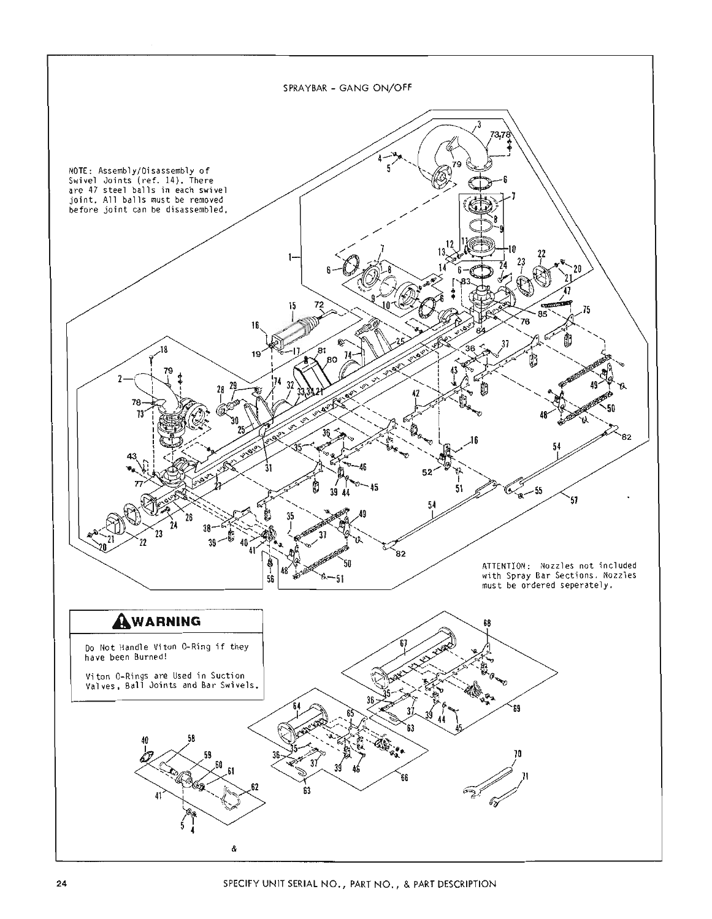![](_page_24_Figure_0.jpeg)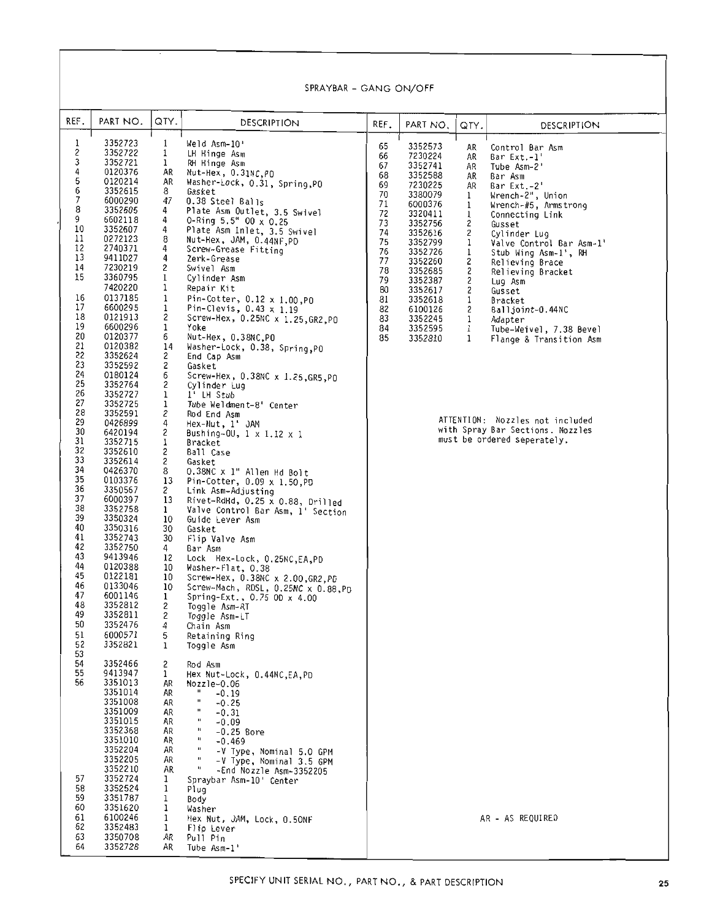#### SPRAYBAR - GANG ON/OFF

| REF.                                                                                                                                                                                                                                                                                                                                                       | PART NO.                                                                                                                                                                                                                                                                                                                                                                                                                                                                                                                                                                                                                                                                                               | QTY.                                                                                                                                                                                                                                                                                                                                                                                                                                          | <b>DESCRIPTION</b>                                                                                                                                                                                                                                                                                                                                                                                                                                                                                                                                                                                                                                                                                                                                                                                                                                                                                                                                                                                                                                                                                                                                                                                                                                                                                                                                                                          | REF.                                                                                                                       | PART NO.                                                                                                                                                                                                                            | QTY.                                                                                                                                                                      | <b>DESCRIPTION</b>                                                                                                                                                                                                                                                                                                                                                                                                                                                                      |
|------------------------------------------------------------------------------------------------------------------------------------------------------------------------------------------------------------------------------------------------------------------------------------------------------------------------------------------------------------|--------------------------------------------------------------------------------------------------------------------------------------------------------------------------------------------------------------------------------------------------------------------------------------------------------------------------------------------------------------------------------------------------------------------------------------------------------------------------------------------------------------------------------------------------------------------------------------------------------------------------------------------------------------------------------------------------------|-----------------------------------------------------------------------------------------------------------------------------------------------------------------------------------------------------------------------------------------------------------------------------------------------------------------------------------------------------------------------------------------------------------------------------------------------|---------------------------------------------------------------------------------------------------------------------------------------------------------------------------------------------------------------------------------------------------------------------------------------------------------------------------------------------------------------------------------------------------------------------------------------------------------------------------------------------------------------------------------------------------------------------------------------------------------------------------------------------------------------------------------------------------------------------------------------------------------------------------------------------------------------------------------------------------------------------------------------------------------------------------------------------------------------------------------------------------------------------------------------------------------------------------------------------------------------------------------------------------------------------------------------------------------------------------------------------------------------------------------------------------------------------------------------------------------------------------------------------|----------------------------------------------------------------------------------------------------------------------------|-------------------------------------------------------------------------------------------------------------------------------------------------------------------------------------------------------------------------------------|---------------------------------------------------------------------------------------------------------------------------------------------------------------------------|-----------------------------------------------------------------------------------------------------------------------------------------------------------------------------------------------------------------------------------------------------------------------------------------------------------------------------------------------------------------------------------------------------------------------------------------------------------------------------------------|
| 1<br>$\overline{\mathbf{c}}$<br>3<br>4<br>5<br>6<br>7<br>8<br>9.<br>10<br>11<br>12<br>13<br>14<br>15<br>16<br>17<br>18<br>19<br>20<br>21<br>22<br>23<br>24<br>25<br>26<br>27<br>28<br>29<br>30<br>31<br>32<br>33<br>34<br>35<br>36<br>37<br>38<br>39<br>40<br>41<br>42<br>43<br>44<br>45<br>46<br>47<br>48<br>49<br>50<br>51<br>52<br>53<br>54<br>55<br>56 | 3352723<br>3352722<br>3352721<br>0120376<br>0120214<br>3352615<br>6000290<br>3352605<br>6602118<br>3352607<br>0272123<br>2740371<br>9411027<br>7230219<br>3360795<br>7420220<br>0137185<br>6600295<br>0121913<br>6600296<br>0120377<br>0120382<br>3352624<br>3352592<br>0180124<br>3352764<br>3352727<br>3352725<br>3352591<br>0426899<br>6420194<br>3352715<br>3352610<br>3352614<br>0426370<br>0103376<br>3350567<br>6000397<br>3352758<br>3350324<br>3350316<br>3352743<br>3352750<br>9413946<br>0120388<br>0122181<br>0133046<br>6001146<br>3352812<br>3352811<br>3352476<br>6000571<br>3352821<br>3352466<br>9413947<br>3351013<br>3351014<br>3351008<br>3351009<br>3351015<br>3352368<br>3351010 | 1<br>1<br>1<br>AR.<br>AR<br>8<br>47<br>4<br>4<br>4<br>8<br>4<br>4<br>2<br>1<br>$\mathbf{1}$<br>$\mathbf{1}$<br>$\mathbf{1}$<br>2<br>$\mathbf{1}$<br>6<br>14<br>2<br>2<br>6<br>2<br>ı<br>$\mathbf{1}$<br>2<br>4<br>2<br>1<br>2<br>2<br>8<br>13<br>2<br>13<br>$\mathbf{1}$<br>10<br>30<br>30<br>4<br>12<br>10 <sup>°</sup><br>10<br>10<br>1<br>2<br>$\mathbf{2}$<br>4<br>5<br>1<br>2<br>$\mathbf{1}$<br>AR<br>AR<br>AR<br>AR<br>AR<br>AR.<br>AR | Weld Asm-10'<br>LH Hinge Asm<br>RH Hinge Asm<br>Nut-Hex, 0.31NC.PO<br>Washer-Lock, 0.31, Spring, PO<br>Gasket<br>0.38 Steel Balls<br>Plate Asm Outlet, 3.5 Swivel<br>0-Ring $5.5"$ 00 x 0.25<br>Plate Asm Inlet, 3.5 Swivel<br>Nut-Hex, JAM, 0.44NF, PD<br>Screw-Grease Fitting<br>Zerk-Grease<br>Swivel Asm<br>Cylinder Asm<br>Repair Kit<br>Pin-Cotter, 0.12 x 1.00, PO<br>Pin-Clevis, $0.43 \times 1.19$<br>Screw-Hex, 0.25NC x 1.25, GR2, PO<br>Yoke<br>Nut-Hex, 0.38NC.PO<br>Washer-Lock, 0.38, Spring, PO<br>End Cap Asm<br>Gasket<br>Screw-Hex, 0.38NC x 1.25, GR5, PO<br>Cylinder Lug<br>1' LH Stub<br>Tube Weldment-8' Center<br>Rod End Asm<br>Hex-Nut, 1' JAM<br>Bushing-OU, $1 \times 1.12 \times 1$<br>Bracket<br>Ball Case<br>Gasket<br>0.38NC x 1" Allen Hd Bolt<br>Pin-Cotter, 0.09 x 1.50, PB<br>Link Asm-Adjusting<br>Rivet-RdHd, 0.25 x 0.88, Drilled<br>Valve Control Bar Asm, 1' Section<br>Guide Lever Asm<br>Gasket<br>Flip Valve Asm<br>Bar Asm<br>Lock Hex-Lock, 0.25NC, EA, PD<br>Washer-Flat, 0.38<br>Screw-Hex, 0.38NC x 2.00, GR2, PD<br>Screw-Mach, RDSL, 0.25NC x 0.88, PD<br>Spring-Ext., $0.75$ OD $\times$ 4.00<br>Toggle Asm-RT<br>Toggle Asm-LT<br>Chain Asm<br>Retaining Ring<br>Toggle Asm<br>Rod Asm<br>Hex Nut-Lock, 0.44NC, EA, PD<br>Nozzle-0.06<br>$-0.19$<br>п<br>$-0.25$<br>н<br>$-0.31$<br>п<br>$-0.09$<br>н<br>$-0.25$ Bore<br>D<br>$-0.469$ | 65<br>66<br>67<br>68<br>69<br>70<br>71<br>72<br>73<br>74<br>75<br>76<br>77<br>78<br>79<br>80<br>81<br>82<br>83<br>84<br>85 | 3352573<br>7230224<br>3352741<br>3352588<br>7230225<br>3380079<br>6000376<br>3320411<br>3352756<br>3352616<br>3352799<br>3352726<br>3352260<br>3352685<br>3352387<br>3352617<br>3352618<br>6100126<br>3352245<br>3352595<br>3352810 | AR<br>AR<br>AR<br>AR<br>AR<br>1<br>1<br>1<br>2<br>2<br>1<br>1<br>$\overline{c}$<br>2<br>$\overline{c}$<br>$\overline{c}$<br>1<br>$\overline{c}$<br>$\mathbf{1}$<br>1<br>1 | Control Bar Asm<br>Bar Ext.-1'<br>Tube Asm-2'<br>Bar Asm<br>Bar Ext.-2'<br>Wrench-2", Union<br>Wrench-#5, Armstrong<br>Connecting Link<br>Gusset<br>Cylinder Lug<br>Valve Control Bar Asm-1'<br>Stub Wing Asm-1', RH<br>Relieving Brace<br>Relieving Bracket<br>Lug Asm<br>Gusset<br>Bracket<br>Balljoint-0.44NC<br>Adapter<br>Tube-Weivel, 7.38 Bevel<br>Flange & Transition Asm<br>ATTENTION: Nozzles not included<br>with Spray Bar Sections. Nozzles<br>must be ordered seperately. |
| 57<br>58<br>59<br>60<br>61<br>62<br>63<br>64                                                                                                                                                                                                                                                                                                               | 3352204<br>3352205<br>3352210<br>3352724<br>3352524<br>3351787<br>3351620<br>6100246<br>3352483<br>3350708<br>3352728                                                                                                                                                                                                                                                                                                                                                                                                                                                                                                                                                                                  | AR<br>AR<br>AR<br>$\mathbf{1}$<br>1<br>1<br>1<br>1<br>1<br>AR.<br>AR.                                                                                                                                                                                                                                                                                                                                                                         | $\mathbf{H}$<br>-V Type, Nominal 5.0 GPM<br>п<br>-V Type, Nominal 3.5 GPM<br>ч<br>-End Nozzle Asm-3352205<br>Spraybar Asm-10' Center<br>Plug<br>Body<br>Washer<br>Hex Nut, JAM, Lock, 0.50NF<br>Flip Lever<br>Pull Pin<br>Tube Asm-1'                                                                                                                                                                                                                                                                                                                                                                                                                                                                                                                                                                                                                                                                                                                                                                                                                                                                                                                                                                                                                                                                                                                                                       |                                                                                                                            |                                                                                                                                                                                                                                     |                                                                                                                                                                           | AR - AS REQUIRED                                                                                                                                                                                                                                                                                                                                                                                                                                                                        |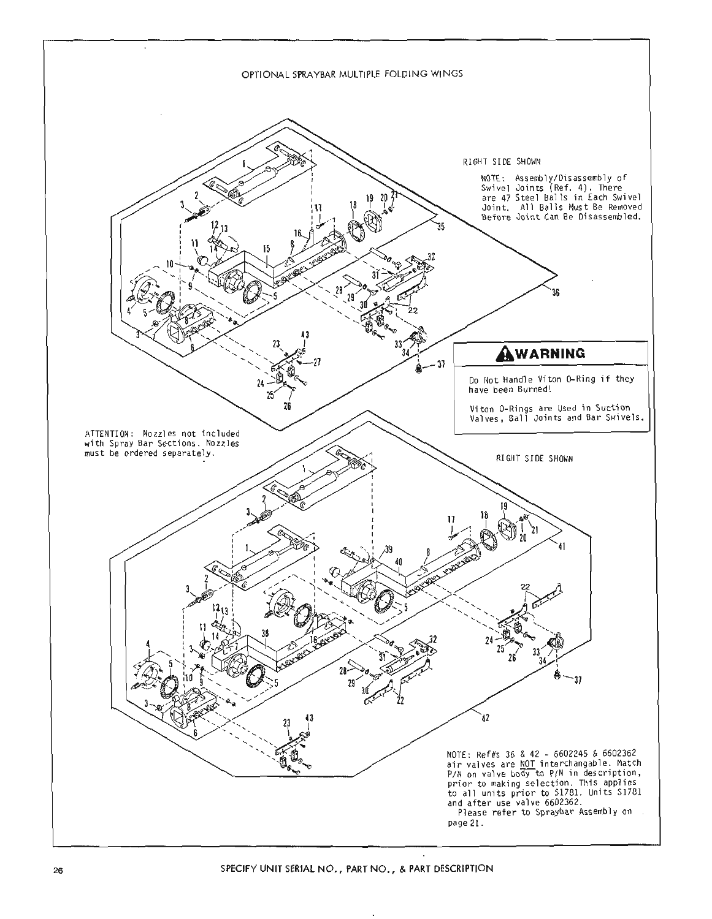![](_page_26_Figure_0.jpeg)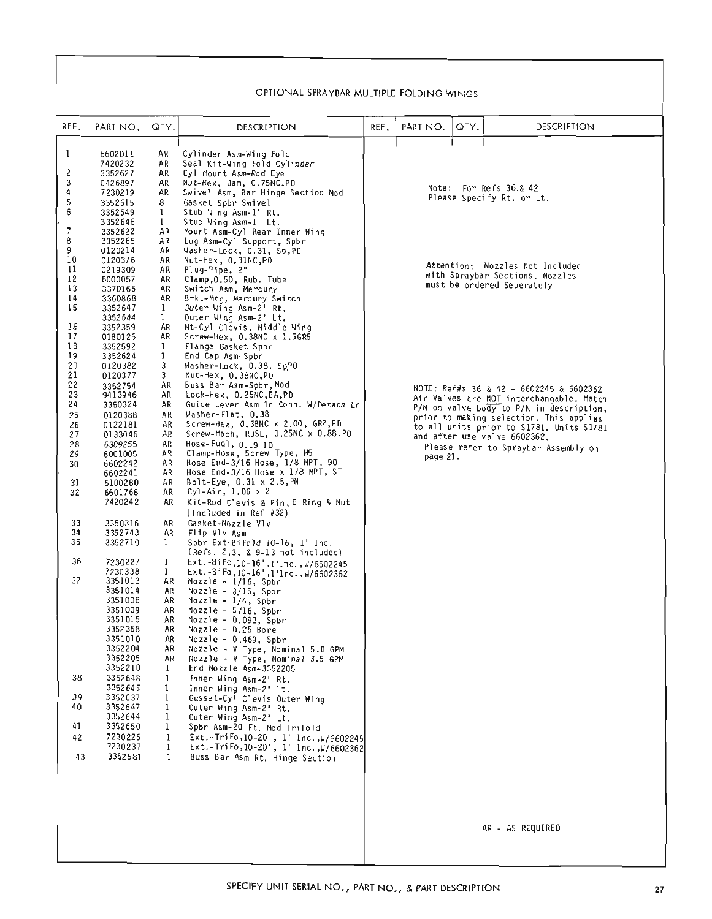#### OPTIONAL SPRAYBAR MULTIPLE FOLDING WINGS

| REF.                                                                                                                                               | PART NO.                                                                                                                                                                                                                                                                                                                                                                                                                       | QTY.                                                                                                                                                                                                                 | <b>DESCRIPTION</b>                                                                                                                                                                                                                                                                                                                                                                                                                                                                                                                                                                                                                                                                                                                                                                                                                                                                                                                                                                                                                                                                                                                                                                                       | REF.                                                | PART NO. | QTY. | <b>DESCRIPTION</b>                                                                                                                                                                                                                                                                                 |  |  |
|----------------------------------------------------------------------------------------------------------------------------------------------------|--------------------------------------------------------------------------------------------------------------------------------------------------------------------------------------------------------------------------------------------------------------------------------------------------------------------------------------------------------------------------------------------------------------------------------|----------------------------------------------------------------------------------------------------------------------------------------------------------------------------------------------------------------------|----------------------------------------------------------------------------------------------------------------------------------------------------------------------------------------------------------------------------------------------------------------------------------------------------------------------------------------------------------------------------------------------------------------------------------------------------------------------------------------------------------------------------------------------------------------------------------------------------------------------------------------------------------------------------------------------------------------------------------------------------------------------------------------------------------------------------------------------------------------------------------------------------------------------------------------------------------------------------------------------------------------------------------------------------------------------------------------------------------------------------------------------------------------------------------------------------------|-----------------------------------------------------|----------|------|----------------------------------------------------------------------------------------------------------------------------------------------------------------------------------------------------------------------------------------------------------------------------------------------------|--|--|
| 1<br>2<br>3<br>4<br>5<br>6                                                                                                                         | 6602011<br>7420232<br>3352627<br>0426897<br>7230219<br>3352615<br>3352649<br>3352646                                                                                                                                                                                                                                                                                                                                           | ΑR<br>AR<br>AR<br>AR<br>AR<br>8<br>1<br>1                                                                                                                                                                            | Cylinder Asm-Wing Fold<br>Seal Kit-Wing Fold Cylinder<br>Cyl Mount Asm-Rod Eye<br>Nut-Hex, Jam, O.75NC,PO<br>Swivel Asm, Bar Hinge Section Mod<br>Gasket Spbr Swivel<br>Stub Wing Asm-1' Rt.<br>Stub Wing Asm-1' Lt.                                                                                                                                                                                                                                                                                                                                                                                                                                                                                                                                                                                                                                                                                                                                                                                                                                                                                                                                                                                     | Note: For Refs 36.& 42<br>Please Specify Rt. or Lt. |          |      |                                                                                                                                                                                                                                                                                                    |  |  |
| 7<br>8<br>9<br>10<br>11<br>12<br>13<br>14<br>15                                                                                                    | 3352622<br>3352265<br>0120214<br>0120376<br>0219309<br>5000057<br>3370165<br>3360868<br>3352647<br>3352644                                                                                                                                                                                                                                                                                                                     | AR<br>AR<br>AR<br>AR<br>AR<br>AR<br>AR<br>AR<br>1<br>1                                                                                                                                                               | Mount Asm-Cyl Rear Inner Wing<br>Lug Asm-Cyl Support, Spbr<br>Washer-Lock, 0.31, Sp, PD<br>Nut-Hex, 0.31NC.PO<br>Plug-Pipe, 2"<br>Clamp, 0.50, Rub. Tube<br>Switch Asm, Mercury<br>8rkt-Mtg, Mercury Switch<br>Outer Wing Asm-2' Rt.<br>Outer Wing Asm-2' Lt.                                                                                                                                                                                                                                                                                                                                                                                                                                                                                                                                                                                                                                                                                                                                                                                                                                                                                                                                            |                                                     |          |      | Attention: Nozzles Not Included<br>with Spraybar Sections, Nozzles<br>must be ordered Seperately                                                                                                                                                                                                   |  |  |
| 16<br>17<br>18<br>19<br>20<br>21<br>22<br>23<br>24<br>25<br>26<br>27<br>28<br>29<br>30<br>31<br>32<br>33<br>34<br>35<br>36<br>37<br>38<br>39<br>40 | 3352359<br>0180126<br>3352592<br>3352624<br>0120382<br>0120377<br>3352754<br>9413946<br>3350324<br>0120388<br>0122181<br>0133046<br>6309255<br>6001005<br>6602242<br>6602241<br>61002B0<br>6601768<br>7420242<br>3350316<br>3352743<br>3352710<br>7230227<br>7230338<br>3351013<br>3351014<br>3351008<br>3351009<br>3351015<br>3352368<br>3351010<br>3352204<br>3352205<br>3352210<br>3352648<br>3352645<br>3352637<br>3352647 | AR<br>AR<br>1<br>1<br>3<br>3<br>AR<br>AR<br>AR<br>AR<br>AR<br>AR<br>AR<br>AR<br>AR<br>AR<br>AR<br>AR<br>AR<br>AR<br>AR<br>1<br>1<br>1<br>AR<br>AR<br>ΑR<br>ΑR<br>AR<br>AR<br>AR<br>AR<br>AR<br>1<br>1<br>1<br>1<br>1 | Mt-Cyl Clevis, Middle Wing<br>Screw-Hex, $0.38NC \times 1.5GRS$<br>Flange Gasket Spbr<br>End Cap Asm-Spbr<br>Washer-Lock, 0.38, SpPO<br>Nut-Hex, 0.38NC.PO<br>Buss Bar Asm-Spbr, Mod<br>Lock-Hex, O.25NC, EA, PD<br>Guide Lever Asm 1n Conn. W/Detach Lr<br>Washer-Flat, 0.38<br>Screw-Hex, 0.38NC x 2.00, GR2, PD<br>Screw-Mach, RDSL, 0.25NC x 0.88.PO<br>Hose-Fuel, 0.19 In<br>Clamp-Hose, 5crew Type, M5<br>Hose End-3/16 Hose, 1/8 MPT, 90<br>Hose End-3/16 Hose x 1/8 MPT, ST<br>Bolt-Eye, 0.31 x 2.5, PN<br>$Cyl-Air, 1.06 \times 2$<br>Kit-Rod Clevis & Pin, E Ring & Nut<br>(Included in Ref #32)<br>Gasket-Nozzle Vlv<br>Flip Vlv Asm<br>Spbr $Ext-BiFold 10-16$ , $1' Inc.$<br>$(Refs. 2, 3, 89-13 not included)$<br>Ext.-8iFo,10-16', l'Inc., W/6602245<br>Ext.-BiFo, 10-16', 1'1nc., W/6602362<br>Nozzle - $1/16$ , Spbr<br>Nozzie – $3/16$ , Spbr<br>Nozzle - $1/4$ , Spbr<br>Nozzle - $5/16$ , Spbr<br>Nozzle - 0.093, Spbr<br>Nozzle - 0.25 Bore<br>Nozzle - $0.469$ , Spbr<br>Nozzle - V Type, Nominal 5.0 GPM<br>Nozzle - V Type, Nominal 3.5 GPM<br>End Nozzle Asm-3352205<br>Inner Wing Asm-2' Rt.<br>Inner Wing Asm-2' Lt.<br>Gusset-Cyl Clevis Outer Wing<br>Outer Wing Asm-2' Rt. |                                                     | page 21. |      | NOTE: Ref#s 36 & 42 - 6602245 & 6602362<br>Air Valves are NOT interchangable. Match<br>$P/N$ on valve body to $P/N$ in description,<br>prior to making selection. This applies<br>to all units prior to S1781. Units S1781<br>and after use valve 6602362.<br>Please refer to Spraybar Assembly on |  |  |
| 41<br>42<br>43                                                                                                                                     | 3352644<br>3352650<br>7230226<br>7230237<br>3352581                                                                                                                                                                                                                                                                                                                                                                            | 1<br>1<br>1<br>1<br>1                                                                                                                                                                                                | Outer Wing Asm-2' Lt.<br>Spbr Asm-20 Ft. Mod TriFold<br>Ext.-TriFo, 10-20', 1' Inc., W/6602245<br>Ext.-TriFo, 10-20', 1' Inc., W/6602362<br>Buss Bar Asm-Rt. Hinge Section                                                                                                                                                                                                                                                                                                                                                                                                                                                                                                                                                                                                                                                                                                                                                                                                                                                                                                                                                                                                                               |                                                     |          |      | AR - AS REQUIREO                                                                                                                                                                                                                                                                                   |  |  |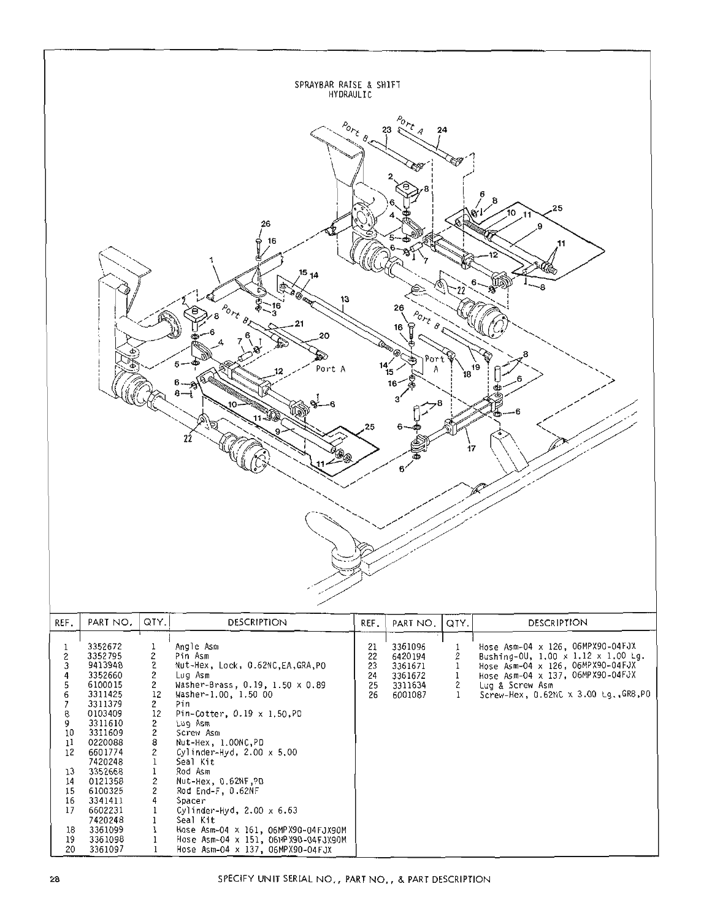![](_page_28_Figure_0.jpeg)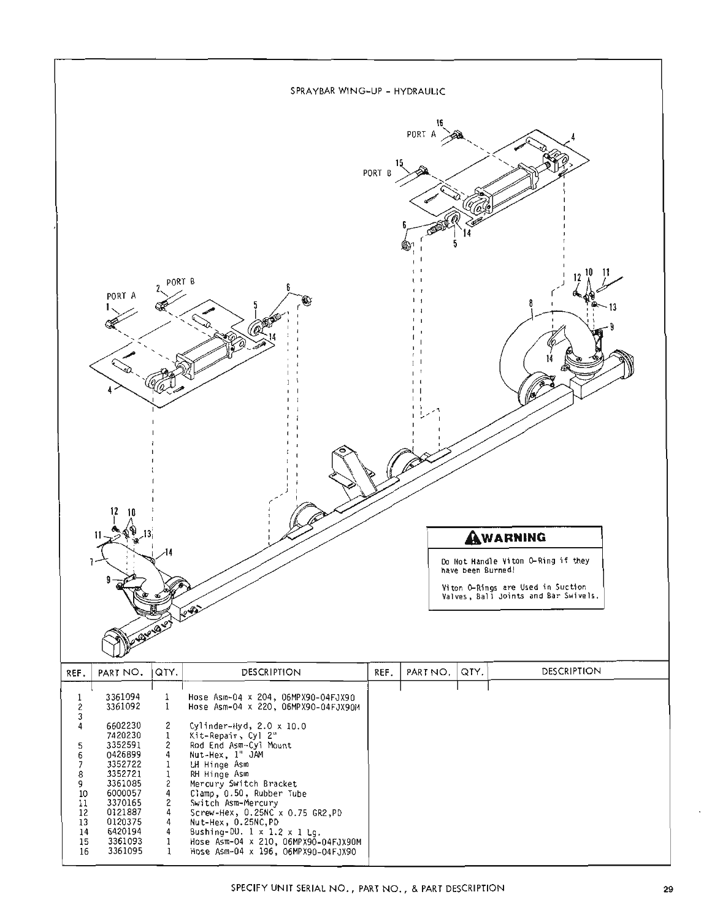![](_page_29_Figure_0.jpeg)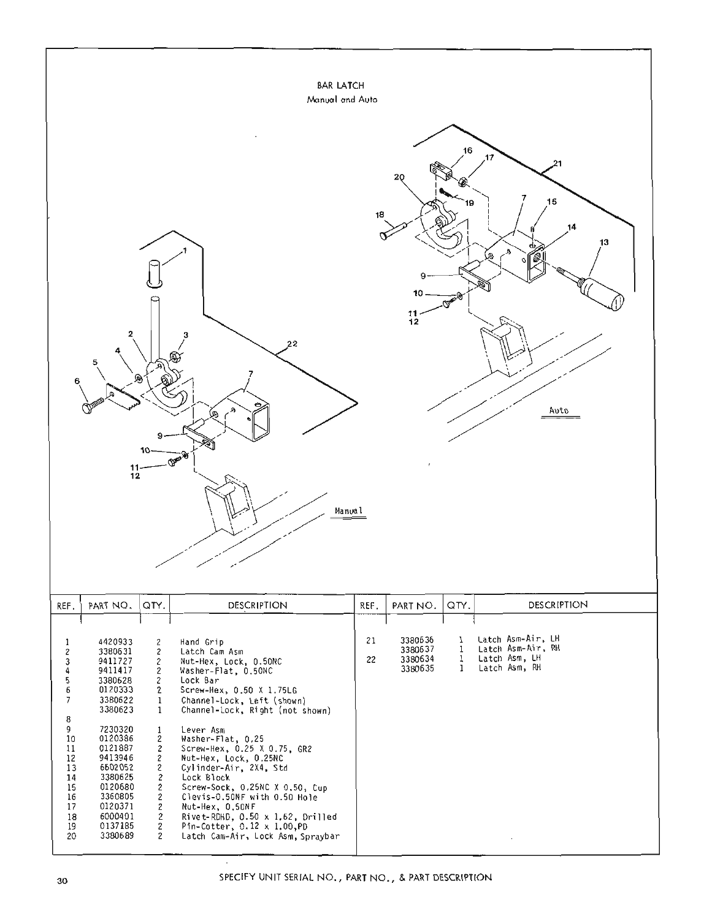![](_page_30_Figure_0.jpeg)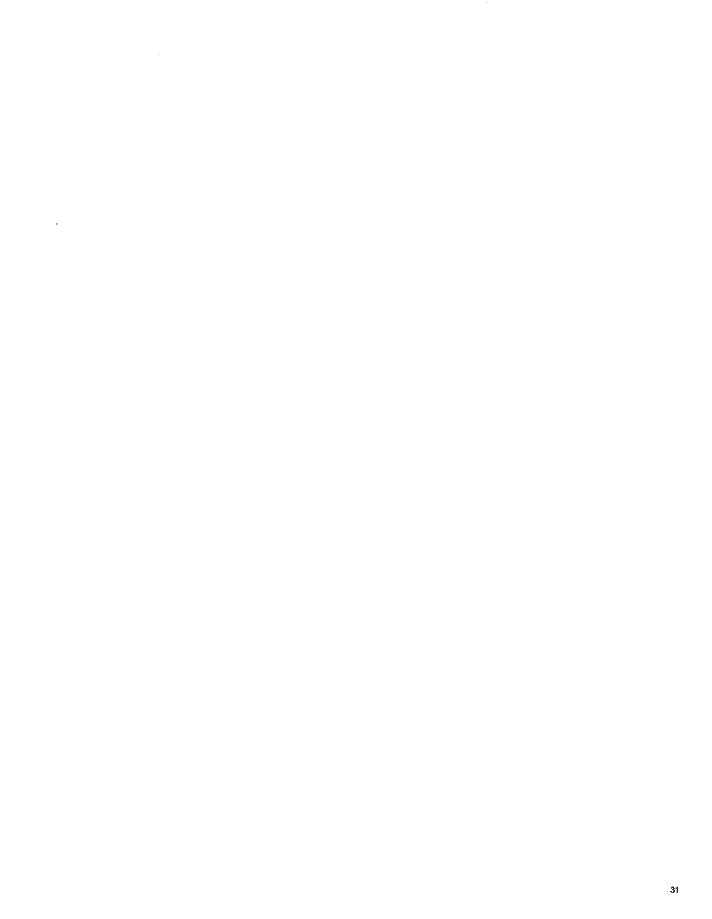$\sim$ 

 $\label{eq:2.1} \frac{1}{\sqrt{2}}\int_{0}^{\infty}\frac{1}{\sqrt{2\pi}}\left(\frac{1}{\sqrt{2\pi}}\right)^{2}d\mu\left(\frac{1}{\sqrt{2\pi}}\right)\frac{d\mu}{d\mu}d\mu\left(\frac{1}{\sqrt{2\pi}}\right).$ 

 $\mathcal{A}^{\text{max}}_{\text{max}}$ 

 $31$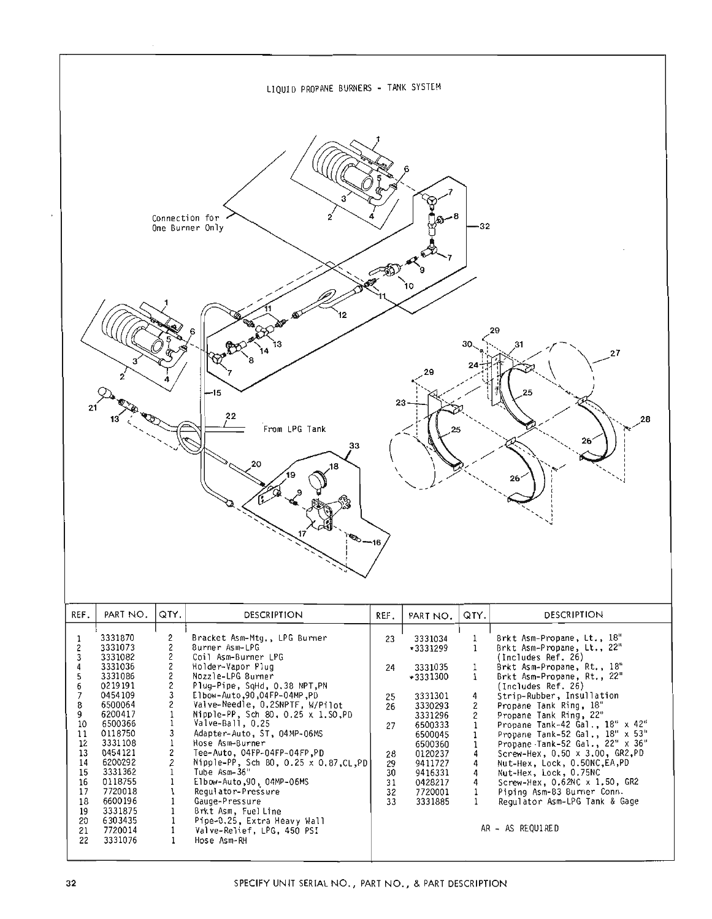![](_page_32_Figure_0.jpeg)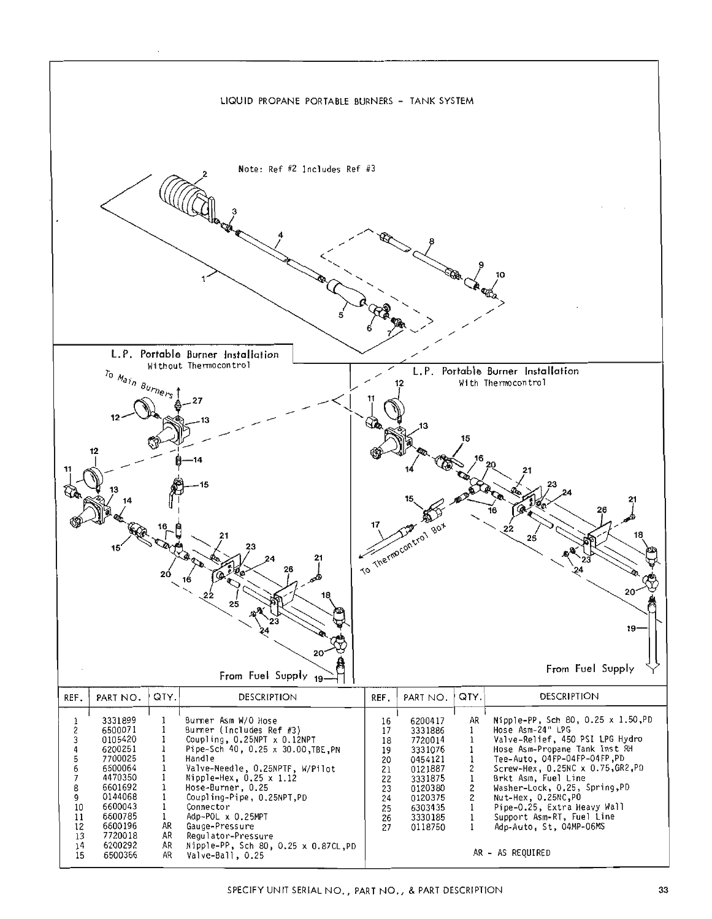![](_page_33_Figure_0.jpeg)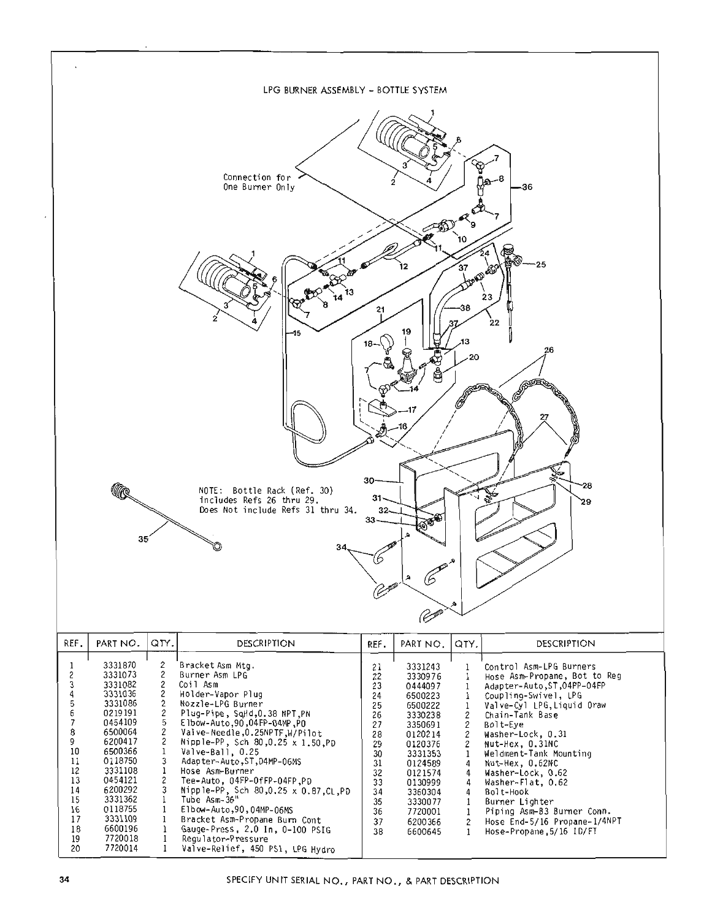![](_page_34_Figure_0.jpeg)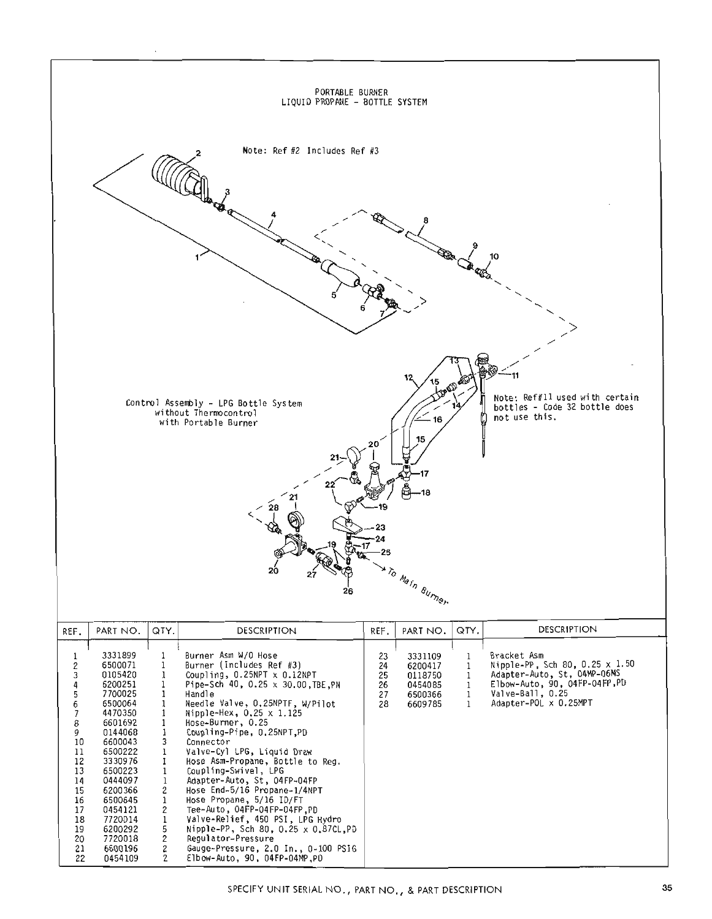![](_page_35_Figure_0.jpeg)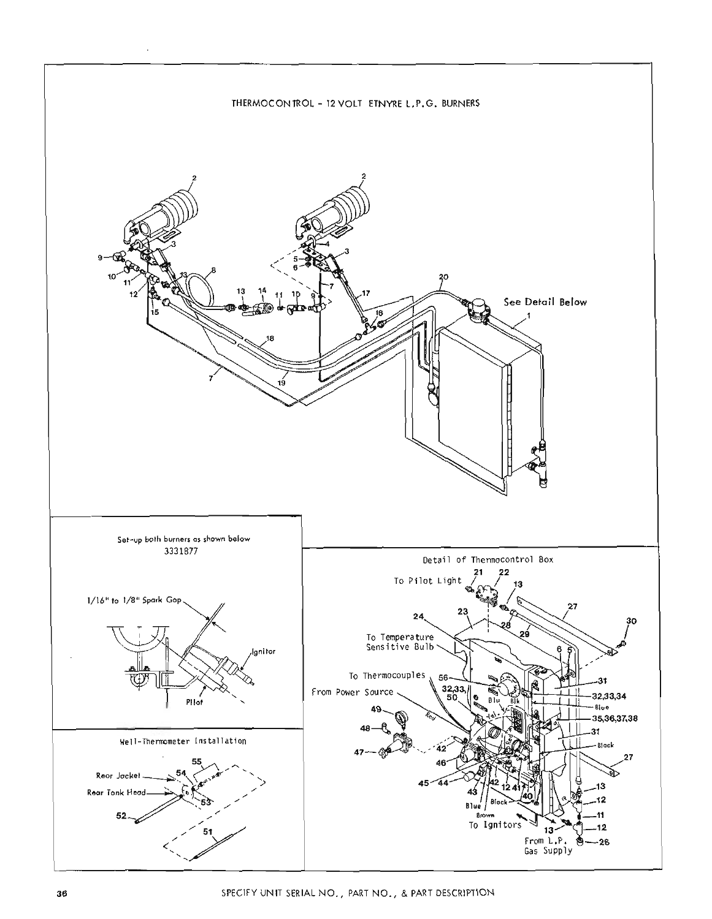![](_page_36_Figure_0.jpeg)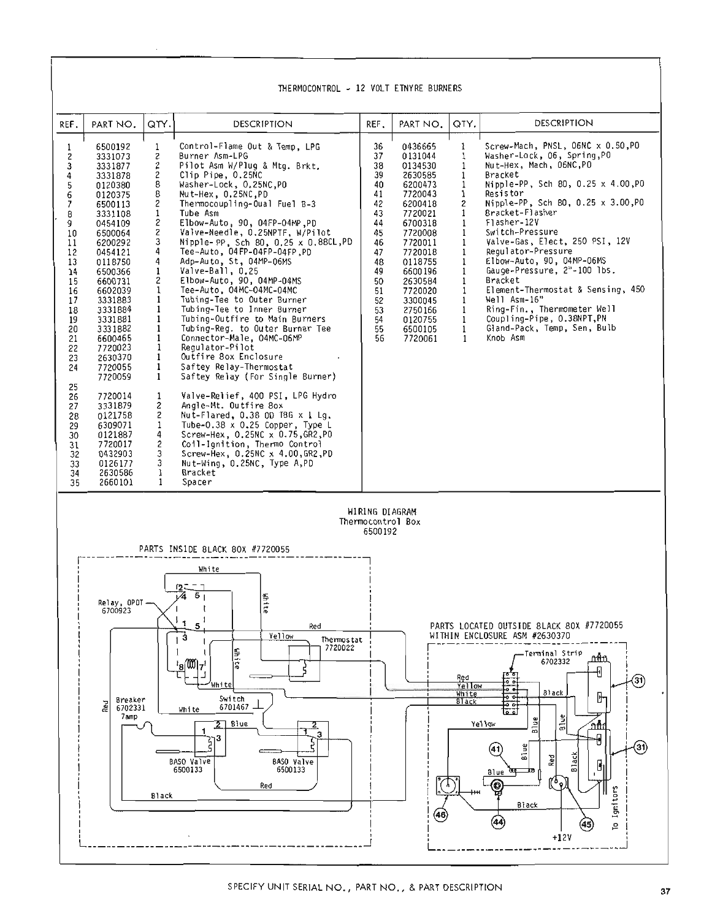| QTY.<br>REF.<br>PART NO.<br><b>DESCRIPTION</b>                                                                                                                                                                                                                                                                                                                                                                                                                                                                                                                                                                                                                                                                                                                                                                                                                                                                                                                                                                                                                                                                                                                                                                                                                                                                                                                                                                                                                                                                                                                                                                                                                                                                                                                                                                                                                           | REF.<br>36                                                                                                           | PART NO.                                                                                                                                                                                                                            | QTY.                                                                                                                                                         | <b>DESCRIPTION</b>                                                                                                                                                                                                                                                                                                                                                                                                                                                                                                                             |
|--------------------------------------------------------------------------------------------------------------------------------------------------------------------------------------------------------------------------------------------------------------------------------------------------------------------------------------------------------------------------------------------------------------------------------------------------------------------------------------------------------------------------------------------------------------------------------------------------------------------------------------------------------------------------------------------------------------------------------------------------------------------------------------------------------------------------------------------------------------------------------------------------------------------------------------------------------------------------------------------------------------------------------------------------------------------------------------------------------------------------------------------------------------------------------------------------------------------------------------------------------------------------------------------------------------------------------------------------------------------------------------------------------------------------------------------------------------------------------------------------------------------------------------------------------------------------------------------------------------------------------------------------------------------------------------------------------------------------------------------------------------------------------------------------------------------------------------------------------------------------|----------------------------------------------------------------------------------------------------------------------|-------------------------------------------------------------------------------------------------------------------------------------------------------------------------------------------------------------------------------------|--------------------------------------------------------------------------------------------------------------------------------------------------------------|------------------------------------------------------------------------------------------------------------------------------------------------------------------------------------------------------------------------------------------------------------------------------------------------------------------------------------------------------------------------------------------------------------------------------------------------------------------------------------------------------------------------------------------------|
|                                                                                                                                                                                                                                                                                                                                                                                                                                                                                                                                                                                                                                                                                                                                                                                                                                                                                                                                                                                                                                                                                                                                                                                                                                                                                                                                                                                                                                                                                                                                                                                                                                                                                                                                                                                                                                                                          |                                                                                                                      |                                                                                                                                                                                                                                     |                                                                                                                                                              |                                                                                                                                                                                                                                                                                                                                                                                                                                                                                                                                                |
| Control-Flame Out & Temp, LPG<br>6500192<br>1<br>$\frac{1}{2}$<br>2<br>Burner Asm-LPG<br>3331073<br>2<br>Pilot Asm W/Plug & Mtg. Brkt,<br>3<br>3331877<br>2<br>4<br>Clip Pipe, 0.25NC<br>3331878<br>5<br>8<br>Washer-Lock, O.25NC,PO<br>0120380<br>6<br>8<br>Nut-Hex, 0.25NC, PD<br>0120375<br>7<br>2<br>Thermocoupling-Oual Fuel B-3<br>6500113<br>$\mathbf{1}$<br>8<br>Tube Asm<br>3331108<br>2<br>Elbow-Auto, 90, 04FP-04MP.PD<br>9<br>0454109<br>2<br>Valve-Needle, 0.25NPTF, W/Pilot<br>10<br>6500064<br>3<br>Nipple-PP, Sch 80, 0.25 x 0.88CL, PD<br>11<br>6200292<br>4<br>Tee-Auto, 04FP-04FP-04FP, PD<br>12<br>0454121<br>4<br>Adp-Auto, St, 04MP-06MS<br>13<br>0118750<br>Valve-Ball, 0.25<br>14<br>6500366<br>1<br>2<br>Elbow-Auto, 90, 04MP-04MS<br>15<br>6600731<br>1<br>Tee-Auto, 04MC-04MC-04MC<br>16<br>6602039<br>Tubing-Tee to Outer Burner<br>17<br>1<br>3331883<br>Tubing-Tee to Inner Burner<br>3331884<br>1<br>18<br>Tubing-Outfire to Main Burners<br>19<br>3331881<br>1<br>1<br>Tubing-Reg. to Outer Burner Tee<br>20<br>3331882<br>Connector-Male, 04MC-06MP<br>21<br>6600465<br>1<br>Requlator-Pilot<br>22<br>7720023<br>1<br>Outfire Box Enclosure<br>1<br>23<br>2630370<br>Saftey Relay-Thermostat<br>1<br>24<br>7720055<br>Saftey Relay (For Single Burner)<br>$\mathbf{1}$<br>7720059<br>25<br>Valve-Relief, 400 PSI, LPG Hydro<br>7720014<br>1<br>26<br>2<br>Angle-Mt. Outfire Box<br>27<br>3331879<br>Nut-Flared, 0.38 00 T8G x 1 Lg.<br>2<br>28<br>0121758<br>1<br>Tube-0.38 $\times$ 0.25 Copper, Type L<br>29<br>6309071<br>4<br>Screw-Hex, 0.25NC x 0.75, GR2, PO<br>30<br>0121887<br>2<br>Coil-Ignition, Thermo Control<br>7720017<br>31<br>3<br>Screw-Hex, 0.25NC x 4.00, GR2, PD<br>32<br>0432903<br>3<br>Nut-Wing, O.25NC, Type A,PD<br>33<br>0126177<br>Bracket<br>34<br>1<br>2630586<br>35<br>Spacer<br>$\mathbf{1}$<br>2660101 | 37<br>38<br>39<br>40<br>41<br>42<br>43<br>44<br>45<br>46<br>47<br>48<br>49<br>50<br>51<br>52<br>53<br>54<br>55<br>56 | 0436665<br>0131044<br>0134530<br>2630585<br>6200473<br>7720043<br>6200418<br>7720021<br>6700318<br>7720008<br>7720011<br>7720018<br>0118755<br>6600196<br>2630584<br>7720020<br>3300045<br>2750166<br>0120755<br>6500105<br>7720061 | 1<br>$\mathbf{1}$<br>1<br>1<br>1<br>1<br>2<br>1<br>$\mathbf{1}$<br>1<br>1<br>1<br>$\mathbf{1}$<br>1<br>1<br>1<br>1<br>1<br>1<br>$\mathbf{1}$<br>$\mathbf{1}$ | Screw-Mach, PNSL, 06NC x 0.50, PO<br>Washer-Lock, 06, Spring, PO<br>Nut-Hex, Mach, O6NC,PO<br>Bracket<br>Nipple-PP, Sch 80, 0.25 x 4.00, PO<br>Resistor<br>Nipple-PP, Sch 80, 0.25 x 3.00, PO<br>Bracket-Flasher<br>Flasher-12V<br>Switch-Pressure<br>Valve-Gas, Elect, 250 PSI, 12V<br>Requlator-Pressure<br>Elbow-Auto, 90, 04MP-06MS<br>Gauge-Pressure, 2"-100 lbs.<br>Bracket<br>Element-Thermostat & Sensing, 450<br>Well Asm-16"<br>Ring-Fin., Thermometer Well<br>Coupling-Pipe, 0.38NPT, PN<br>Gland-Pack, Temp, Sen, Bulb<br>Knob Asm |

![](_page_37_Figure_1.jpeg)

![](_page_37_Figure_2.jpeg)

SPECIFY UNIT SERIAL NO., PART NO., & PART DESCRIPTION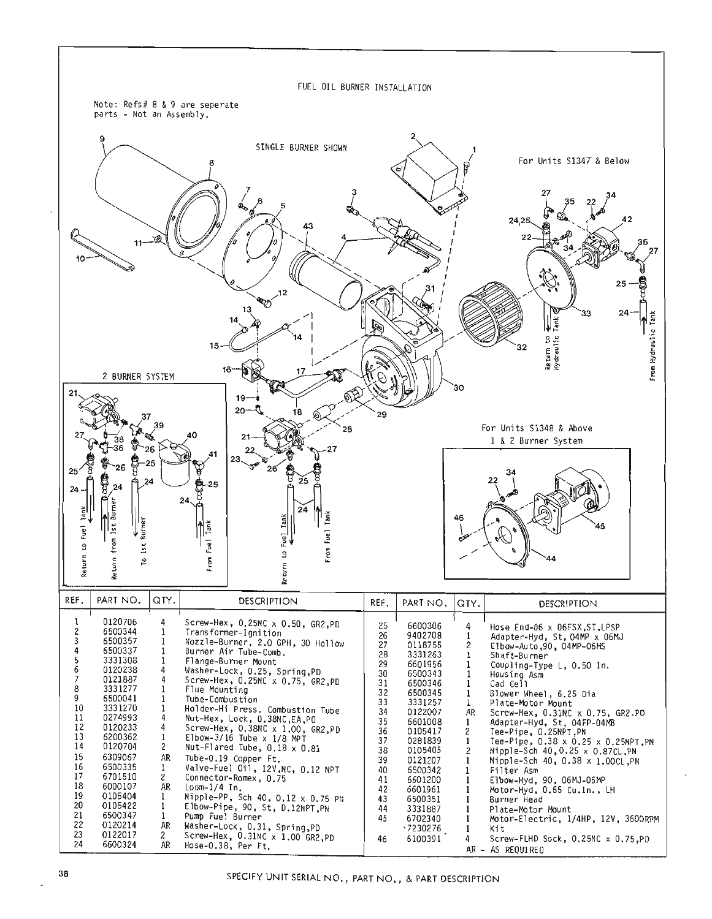![](_page_38_Figure_0.jpeg)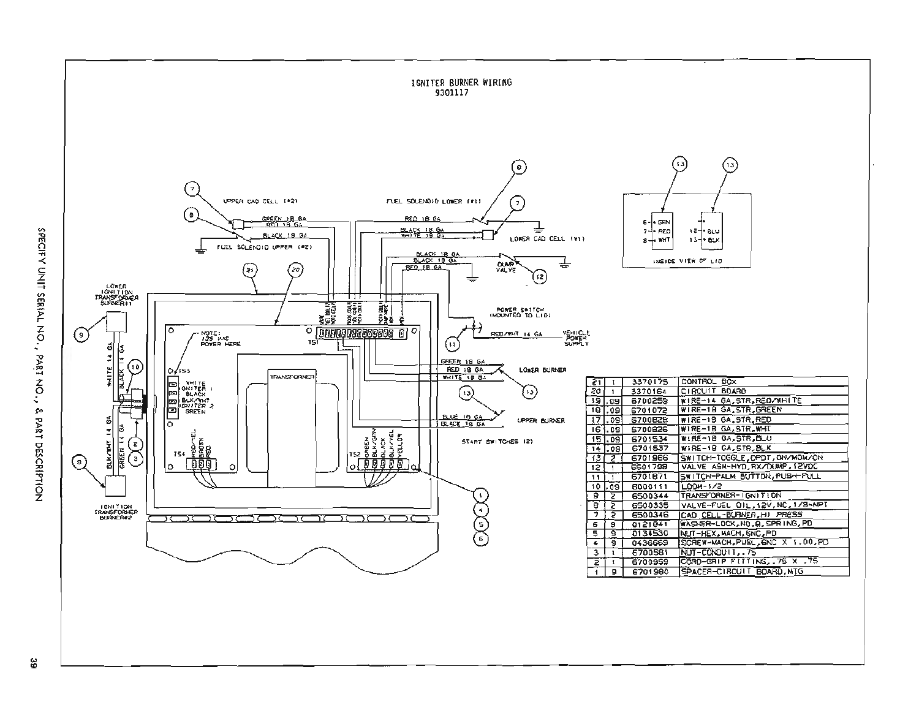![](_page_39_Figure_0.jpeg)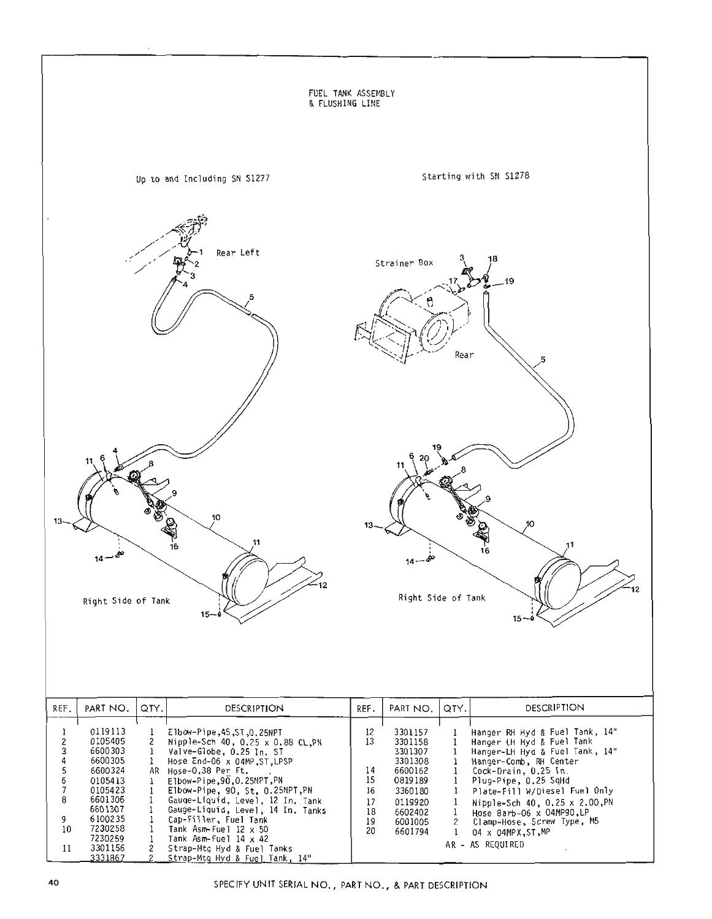![](_page_40_Figure_0.jpeg)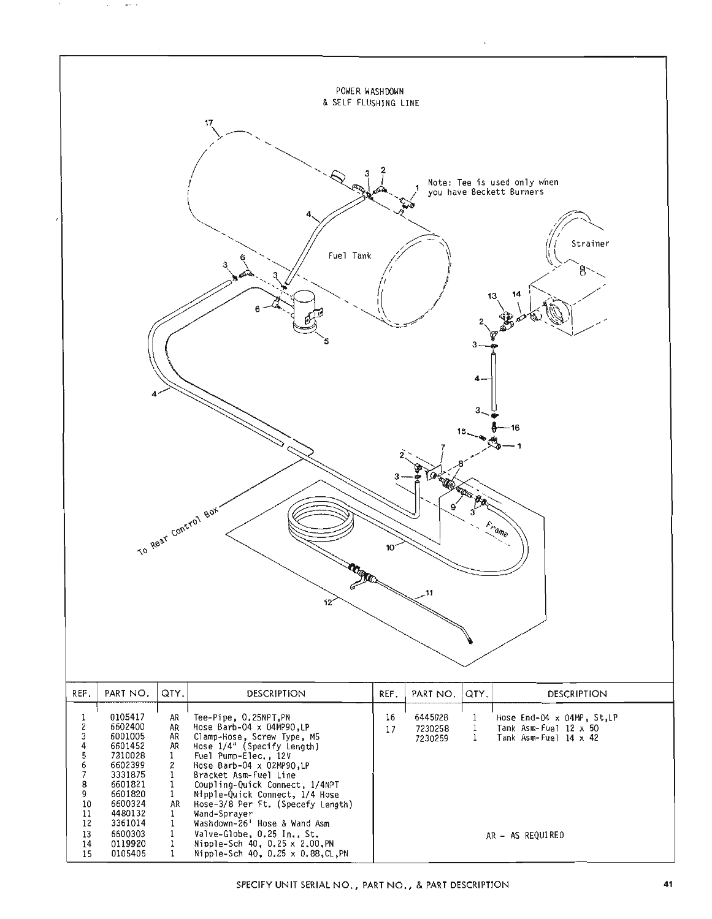![](_page_41_Figure_0.jpeg)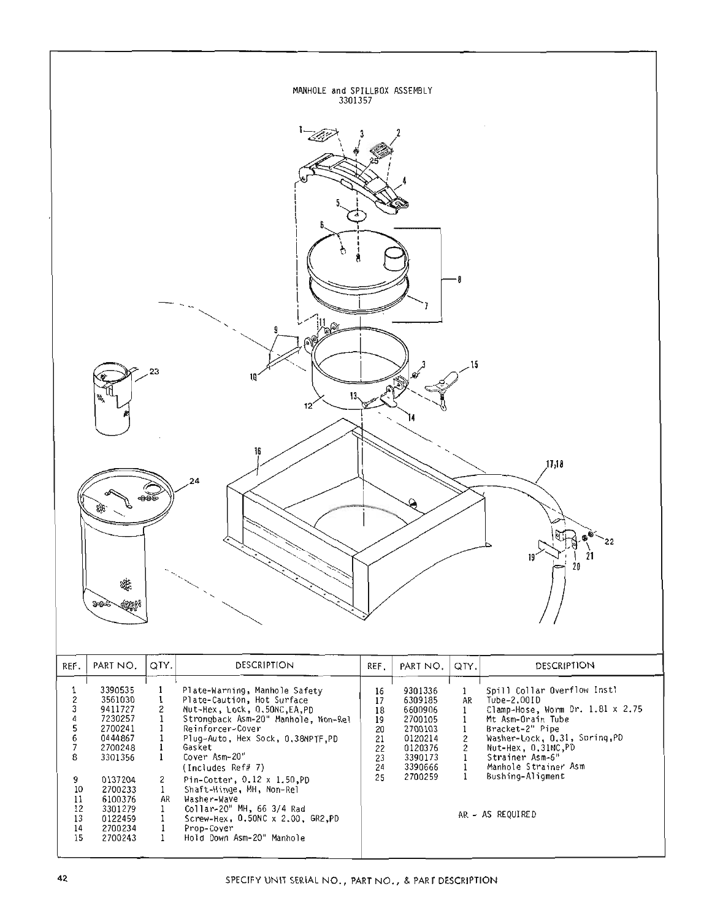| MANHOLE and SPILLBOX ASSEMBLY<br>3301357                                      |                                                                                                                                                                   |                                                                                                           |                                                                                                                                                                                                                                                                                                                                                                                                                                     |                                                          |                                                                                                            |                                                                                                                                                        |                                                                                                                                                                                                                                                                   |  |
|-------------------------------------------------------------------------------|-------------------------------------------------------------------------------------------------------------------------------------------------------------------|-----------------------------------------------------------------------------------------------------------|-------------------------------------------------------------------------------------------------------------------------------------------------------------------------------------------------------------------------------------------------------------------------------------------------------------------------------------------------------------------------------------------------------------------------------------|----------------------------------------------------------|------------------------------------------------------------------------------------------------------------|--------------------------------------------------------------------------------------------------------------------------------------------------------|-------------------------------------------------------------------------------------------------------------------------------------------------------------------------------------------------------------------------------------------------------------------|--|
|                                                                               | É,<br>骤<br>300 100                                                                                                                                                | 23                                                                                                        | 13<br>12<br>16<br>24                                                                                                                                                                                                                                                                                                                                                                                                                |                                                          | نه<br>مهجو ا<br>汤                                                                                          |                                                                                                                                                        | 17,18<br>22<br>21<br>$20\,$                                                                                                                                                                                                                                       |  |
| REF.                                                                          | PART NO.                                                                                                                                                          | QTY.                                                                                                      | <b>DESCRIPTION</b>                                                                                                                                                                                                                                                                                                                                                                                                                  | REF.                                                     | PART NO.                                                                                                   | QTY.                                                                                                                                                   | DESCRIPTION                                                                                                                                                                                                                                                       |  |
| 1<br>2<br>3<br>4<br>5<br>б<br>7<br>8<br>9<br>10<br>11<br>12<br>13<br>14<br>15 | 3390535<br>3561030<br>9411727<br>7230257<br>2700241<br>0444867<br>2700248<br>3301356<br>0137204<br>2700233<br>6100376<br>3301279<br>0122459<br>2700234<br>2700243 | 1<br>1<br>2<br>1<br>1<br>1<br>1<br>1<br>2<br>$\mathbf{1}$<br>AR<br>1<br>$\mathbf{1}$<br>1<br>$\mathbf{1}$ | Plate-Warning, Manhole Safety<br>Plate-Caution, Hot Surface<br>Nut-Hex, Lock, 0.50NC, EA, PD<br>Strongback Asm-20" Manhole, Non-Rel<br>Reinforcer-Cover<br>Plug-Auto, Hex Sock, 0.38NPTF, PD<br>Gasket<br>Cover Asm-20"<br>(Includes Ref# 7)<br>Pin-Cotter, 0.12 x 1.50, PD<br>Shaft-Hinge, MH, Non-Rel<br>Washer-Wave<br>Collar-20" MH, 66 3/4 Rad<br>Screw-Hex, 0.50NC x 2.00, GR2, PD<br>Prop-Cover<br>Hold Down Asm-20" Manhole | 16<br>17<br>18<br>19<br>20<br>21<br>22<br>23<br>24<br>25 | 9301336<br>6309185<br>6600906<br>2700105<br>2700103<br>0120214<br>0120376<br>3390173<br>3390666<br>2700259 | $\mathbf{1}$<br>AR<br>$\mathbf{1}$<br>$\mathbf{1}$<br>$\mathbf{1}$<br>$\overline{c}$<br>$\overline{c}$<br>$\mathbf{1}$<br>$\mathbf{1}$<br>$\mathbf{1}$ | Spill Collar Overflow Instl<br>Tube-2,00ID<br>Clamp-Hose, Worm Dr. 1.81 x 2.75<br>Mt Asm-Orain Tube<br>Bracket-2" Pipe<br>Washer-Lock, 0.31, Spring, PD<br>Nut-Hex, 0.31NC, PD<br>Strainer Asm-6"<br>Manhole Strainer Asm<br>Bushing-Aligment<br>AR - AS REQUIRED |  |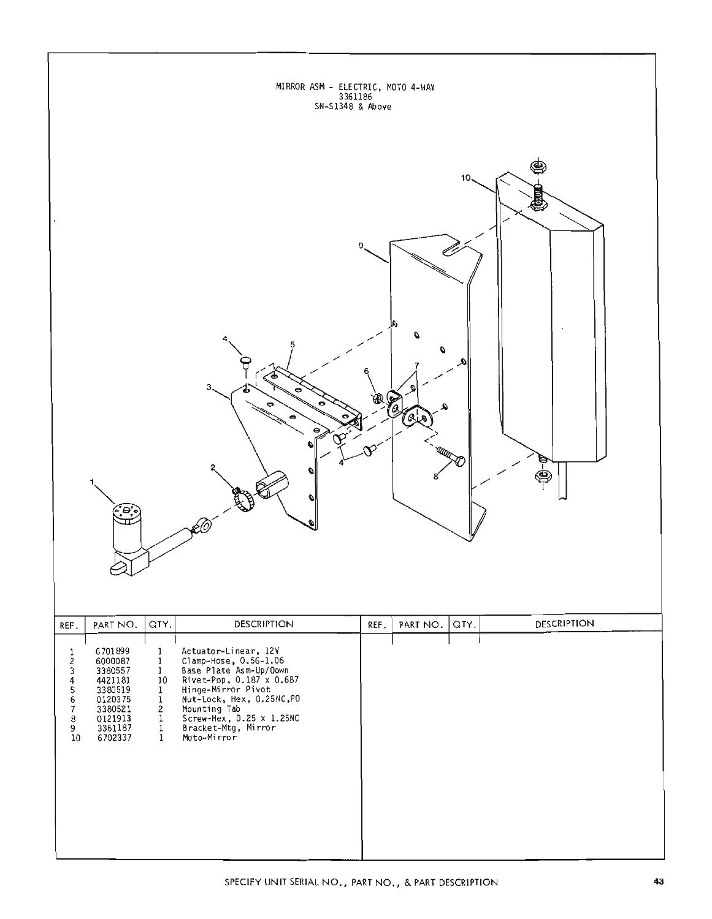![](_page_43_Figure_0.jpeg)